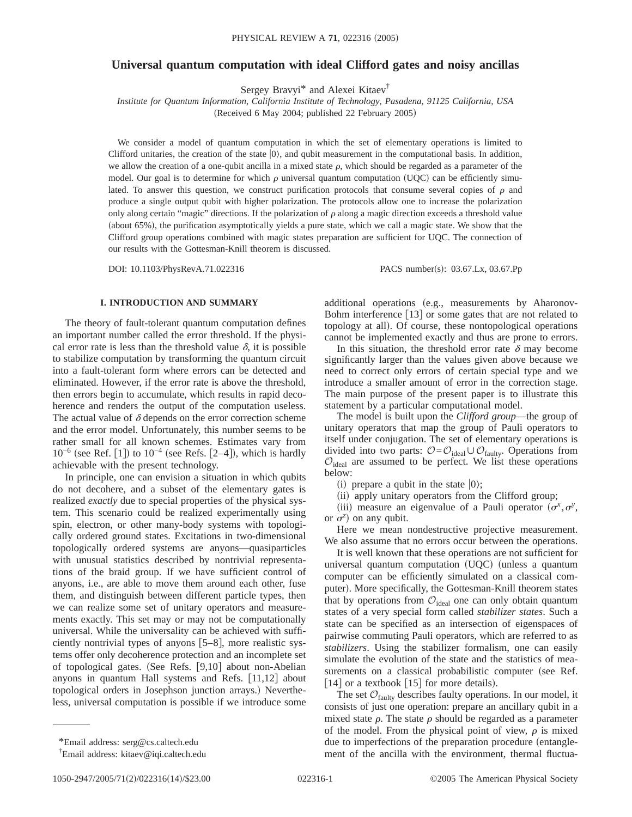# **Universal quantum computation with ideal Clifford gates and noisy ancillas**

Sergey Bravyi\* and Alexei Kitaev†

*Institute for Quantum Information, California Institute of Technology, Pasadena, 91125 California, USA* (Received 6 May 2004; published 22 February 2005)

We consider a model of quantum computation in which the set of elementary operations is limited to Clifford unitaries, the creation of the state  $|0\rangle$ , and qubit measurement in the computational basis. In addition, we allow the creation of a one-qubit ancilla in a mixed state  $\rho$ , which should be regarded as a parameter of the model. Our goal is to determine for which  $\rho$  universal quantum computation (UQC) can be efficiently simulated. To answer this question, we construct purification protocols that consume several copies of  $\rho$  and produce a single output qubit with higher polarization. The protocols allow one to increase the polarization only along certain "magic" directions. If the polarization of  $\rho$  along a magic direction exceeds a threshold value (about 65%), the purification asymptotically yields a pure state, which we call a magic state. We show that the Clifford group operations combined with magic states preparation are sufficient for UQC. The connection of our results with the Gottesman-Knill theorem is discussed.

DOI: 10.1103/PhysRevA.71.022316 PACS number(s): 03.67.Lx, 03.67.Pp

## **I. INTRODUCTION AND SUMMARY**

The theory of fault-tolerant quantum computation defines an important number called the error threshold. If the physical error rate is less than the threshold value  $\delta$ , it is possible to stabilize computation by transforming the quantum circuit into a fault-tolerant form where errors can be detected and eliminated. However, if the error rate is above the threshold, then errors begin to accumulate, which results in rapid decoherence and renders the output of the computation useless. The actual value of  $\delta$  depends on the error correction scheme and the error model. Unfortunately, this number seems to be rather small for all known schemes. Estimates vary from  $10^{-6}$  (see Ref. [1]) to  $10^{-4}$  (see Refs. [2–4]), which is hardly achievable with the present technology.

In principle, one can envision a situation in which qubits do not decohere, and a subset of the elementary gates is realized *exactly* due to special properties of the physical system. This scenario could be realized experimentally using spin, electron, or other many-body systems with topologically ordered ground states. Excitations in two-dimensional topologically ordered systems are anyons—quasiparticles with unusual statistics described by nontrivial representations of the braid group. If we have sufficient control of anyons, i.e., are able to move them around each other, fuse them, and distinguish between different particle types, then we can realize some set of unitary operators and measurements exactly. This set may or may not be computationally universal. While the universality can be achieved with sufficiently nontrivial types of anyons  $[5-8]$ , more realistic systems offer only decoherence protection and an incomplete set of topological gates. (See Refs.  $[9,10]$  about non-Abelian anyons in quantum Hall systems and Refs.  $[11,12]$  about topological orders in Josephson junction arrays.) Nevertheless, universal computation is possible if we introduce some

additional operations (e.g., measurements by Aharonov-Bohm interference  $\lceil 13 \rceil$  or some gates that are not related to topology at all). Of course, these nontopological operations cannot be implemented exactly and thus are prone to errors.

In this situation, the threshold error rate  $\delta$  may become significantly larger than the values given above because we need to correct only errors of certain special type and we introduce a smaller amount of error in the correction stage. The main purpose of the present paper is to illustrate this statement by a particular computational model.

The model is built upon the *Clifford group*—the group of unitary operators that map the group of Pauli operators to itself under conjugation. The set of elementary operations is divided into two parts:  $\mathcal{O} = \mathcal{O}_{\text{ideal}} \cup \mathcal{O}_{\text{faulty}}$ . Operations from  $\mathcal{O}_{\text{ideal}}$  are assumed to be perfect. We list these operations below:

(i) prepare a qubit in the state  $|0\rangle$ ;

(ii) apply unitary operators from the Clifford group;

(iii) measure an eigenvalue of a Pauli operator  $(\sigma^x, \sigma^y, \sigma^z)$ or  $\sigma^z$ ) on any qubit.

Here we mean nondestructive projective measurement. We also assume that no errors occur between the operations.

It is well known that these operations are not sufficient for universal quantum computation  $(UQC)$  (unless a quantum computer can be efficiently simulated on a classical computer). More specifically, the Gottesman-Knill theorem states that by operations from  $\mathcal{O}_{\text{ideal}}$  one can only obtain quantum states of a very special form called *stabilizer states*. Such a state can be specified as an intersection of eigenspaces of pairwise commuting Pauli operators, which are referred to as *stabilizers*. Using the stabilizer formalism, one can easily simulate the evolution of the state and the statistics of measurements on a classical probabilistic computer (see Ref. [14] or a textbook [15] for more details).

The set  $\mathcal{O}_{\text{faulty}}$  describes faulty operations. In our model, it consists of just one operation: prepare an ancillary qubit in a mixed state  $\rho$ . The state  $\rho$  should be regarded as a parameter of the model. From the physical point of view,  $\rho$  is mixed due to imperfections of the preparation procedure (entanglement of the ancilla with the environment, thermal fluctua-

<sup>\*</sup>Email address: serg@cs.caltech.edu

<sup>†</sup> Email address: kitaev@iqi.caltech.edu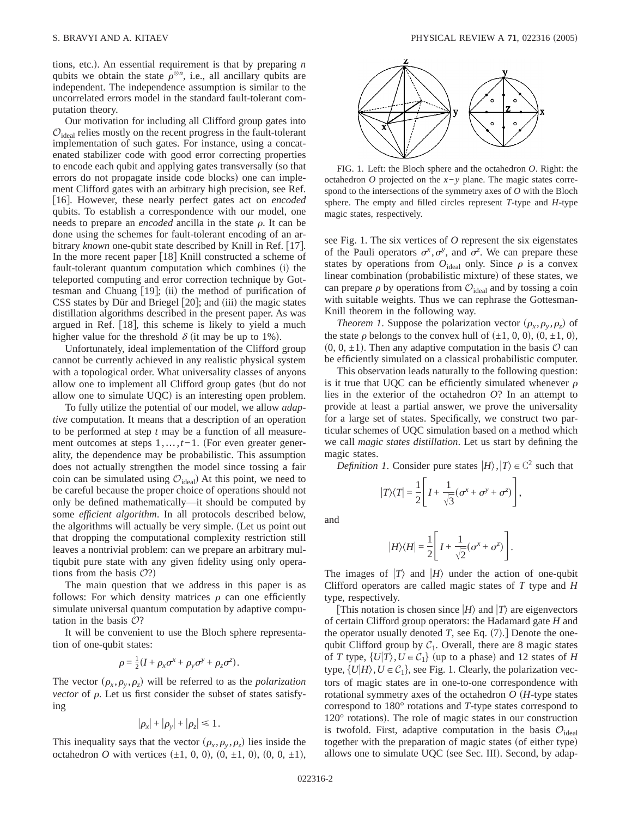tions, etc.). An essential requirement is that by preparing *n* qubits we obtain the state  $\rho^{\otimes n}$ , i.e., all ancillary qubits are independent. The independence assumption is similar to the uncorrelated errors model in the standard fault-tolerant computation theory.

Our motivation for including all Clifford group gates into  $\mathcal{O}_{\text{ideal}}$  relies mostly on the recent progress in the fault-tolerant implementation of such gates. For instance, using a concatenated stabilizer code with good error correcting properties to encode each qubit and applying gates transversally (so that errors do not propagate inside code blocks) one can implement Clifford gates with an arbitrary high precision, see Ref. [16]. However, these nearly perfect gates act on *encoded* qubits. To establish a correspondence with our model, one needs to prepare an *encoded* ancilla in the state  $\rho$ . It can be done using the schemes for fault-tolerant encoding of an arbitrary *known* one-qubit state described by Knill in Ref. [17]. In the more recent paper  $\lceil 18 \rceil$  Knill constructed a scheme of fault-tolerant quantum computation which combines (i) the teleported computing and error correction technique by Gottesman and Chuang  $[19]$ ; (ii) the method of purification of  $CSS$  states by Dür and Briegel  $[20]$ ; and (iii) the magic states distillation algorithms described in the present paper. As was argued in Ref. [18], this scheme is likely to yield a much higher value for the threshold  $\delta$  (it may be up to 1%).

Unfortunately, ideal implementation of the Clifford group cannot be currently achieved in any realistic physical system with a topological order. What universality classes of anyons allow one to implement all Clifford group gates (but do not allow one to simulate  $UQC$ ) is an interesting open problem.

To fully utilize the potential of our model, we allow *adaptive* computation. It means that a description of an operation to be performed at step *t* may be a function of all measurement outcomes at steps 1,...,*t*−1. (For even greater generality, the dependence may be probabilistic. This assumption does not actually strengthen the model since tossing a fair coin can be simulated using  $\mathcal{O}_{\text{ideal}}$  At this point, we need to be careful because the proper choice of operations should not only be defined mathematically—it should be computed by some *efficient algorithm*. In all protocols described below, the algorithms will actually be very simple. (Let us point out that dropping the computational complexity restriction still leaves a nontrivial problem: can we prepare an arbitrary multiqubit pure state with any given fidelity using only operations from the basis  $O$ ?)

The main question that we address in this paper is as follows: For which density matrices  $\rho$  can one efficiently simulate universal quantum computation by adaptive computation in the basis  $O$ ?

It will be convenient to use the Bloch sphere representation of one-qubit states:

$$
\rho = \frac{1}{2}(I + \rho_x \sigma^x + \rho_y \sigma^y + \rho_z \sigma^z).
$$

The vector  $(\rho_x, \rho_y, \rho_z)$  will be referred to as the *polarization vector* of  $\rho$ . Let us first consider the subset of states satisfying

$$
|\rho_x|+|\rho_y|+|\rho_z|\leq 1.
$$

This inequality says that the vector  $(\rho_x, \rho_y, \rho_z)$  lies inside the octahedron *O* with vertices  $(\pm 1, 0, 0)$ ,  $(0, \pm 1, 0)$ ,  $(0, 0, \pm 1)$ ,



FIG. 1. Left: the Bloch sphere and the octahedron *O*. Right: the octahedron *O* projected on the *x*−*y* plane. The magic states correspond to the intersections of the symmetry axes of *O* with the Bloch sphere. The empty and filled circles represent *T*-type and *H*-type magic states, respectively.

see Fig. 1. The six vertices of *O* represent the six eigenstates of the Pauli operators  $\sigma^x$ ,  $\sigma^y$ , and  $\sigma^z$ . We can prepare these states by operations from  $O_{ideal}$  only. Since  $\rho$  is a convex linear combination (probabilistic mixture) of these states, we can prepare  $\rho$  by operations from  $\mathcal{O}_{\text{ideal}}$  and by tossing a coin with suitable weights. Thus we can rephrase the Gottesman-Knill theorem in the following way.

*Theorem 1.* Suppose the polarization vector  $(\rho_x, \rho_y, \rho_z)$  of the state  $\rho$  belongs to the convex hull of  $(\pm 1, 0, 0), (0, \pm 1, 0),$  $(0, 0, \pm 1)$ . Then any adaptive computation in the basis  $\mathcal O$  can be efficiently simulated on a classical probabilistic computer.

This observation leads naturally to the following question: is it true that UQC can be efficiently simulated whenever  $\rho$ lies in the exterior of the octahedron *O*? In an attempt to provide at least a partial answer, we prove the universality for a large set of states. Specifically, we construct two particular schemes of UQC simulation based on a method which we call *magic states distillation*. Let us start by defining the magic states.

*Definition 1*. Consider pure states  $|H\rangle$ ,  $|T\rangle \in \mathbb{C}^2$  such that

$$
|T\rangle\langle T| = \frac{1}{2}\Bigg[I + \frac{1}{\sqrt{3}}(\sigma^x + \sigma^y + \sigma^z)\Bigg],
$$

and

$$
|H\rangle\langle H|=\frac{1}{2}\Bigg[I+\frac{1}{\sqrt{2}}(\sigma^x+\sigma^z)\Bigg].
$$

The images of  $|T\rangle$  and  $|H\rangle$  under the action of one-qubit Clifford operators are called magic states of *T* type and *H* type, respectively.

This notation is chosen since  $|H\rangle$  and  $|T\rangle$  are eigenvectors of certain Clifford group operators: the Hadamard gate *H* and the operator usually denoted *T*, see Eq.  $(7)$ . Denote the onequbit Clifford group by  $C_1$ . Overall, there are 8 magic states of *T* type,  $\{U|T\}$ ,  $U \in C_1$  (up to a phase) and 12 states of *H* type,  $\{U|H\}$ ,  $U \in \mathcal{C}_1$ , see Fig. 1. Clearly, the polarization vectors of magic states are in one-to-one correspondence with rotational symmetry axes of the octahedron  $O(H$ -type states correspond to 180° rotations and *T*-type states correspond to  $120^{\circ}$  rotations). The role of magic states in our construction is twofold. First, adaptive computation in the basis  $\mathcal{O}_{\text{ideal}}$ together with the preparation of magic states (of either type) allows one to simulate  $UQC$  (see Sec. III). Second, by adap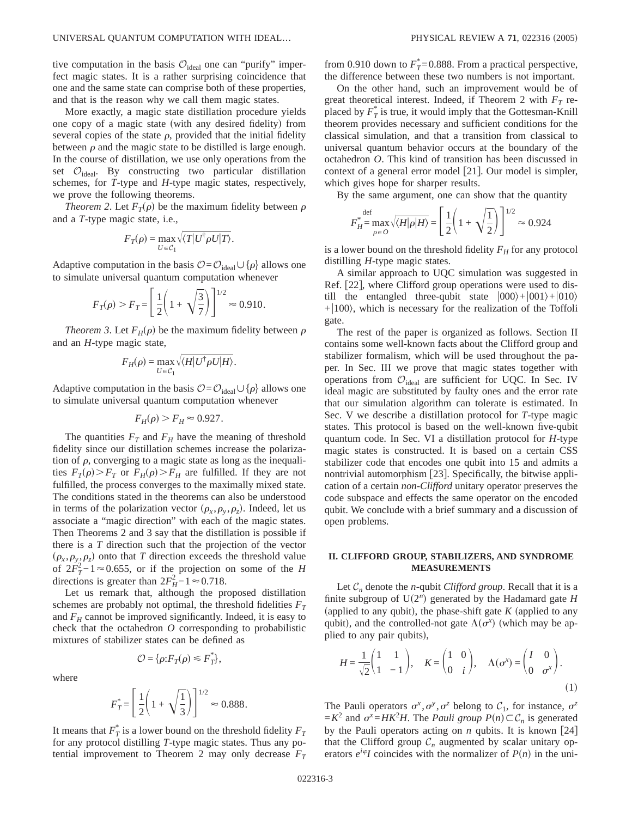tive computation in the basis  $\mathcal{O}_{\text{ideal}}$  one can "purify" imperfect magic states. It is a rather surprising coincidence that one and the same state can comprise both of these properties, and that is the reason why we call them magic states.

More exactly, a magic state distillation procedure yields one copy of a magic state (with any desired fidelity) from several copies of the state  $\rho$ , provided that the initial fidelity between  $\rho$  and the magic state to be distilled is large enough. In the course of distillation, we use only operations from the set  $\mathcal{O}_{\text{ideal}}$ . By constructing two particular distillation schemes, for *T*-type and *H*-type magic states, respectively, we prove the following theorems.

*Theorem 2.* Let  $F_T(\rho)$  be the maximum fidelity between  $\rho$ and a *T*-type magic state, i.e.,

$$
F_T(\rho) = \max_{U \in \mathcal{C}_1} \sqrt{\langle T | U^\dagger \rho U | T \rangle}.
$$

Adaptive computation in the basis  $\mathcal{O} = \mathcal{O}_{\text{ideal}} \cup \{ \rho \}$  allows one to simulate universal quantum computation whenever

$$
F_T(\rho) > F_T = \left[\frac{1}{2}\left(1 + \sqrt{\frac{3}{7}}\right)\right]^{1/2} \approx 0.910.
$$

*Theorem 3.* Let  $F_H(\rho)$  be the maximum fidelity between  $\rho$ and an *H*-type magic state,

$$
F_H(\rho) = \max_{U \in \mathcal{C}_1} \sqrt{\langle H | U^\dagger \rho U | H \rangle}.
$$

Adaptive computation in the basis  $\mathcal{O} = \mathcal{O}_{\text{ideal}} \cup \{\rho\}$  allows one to simulate universal quantum computation whenever

$$
F_H(\rho) > F_H \approx 0.927.
$$

The quantities  $F_T$  and  $F_H$  have the meaning of threshold fidelity since our distillation schemes increase the polarization of  $\rho$ , converging to a magic state as long as the inequalities  $F_T(\rho) > F_T$  or  $F_H(\rho) > F_H$  are fulfilled. If they are not fulfilled, the process converges to the maximally mixed state. The conditions stated in the theorems can also be understood in terms of the polarization vector  $(\rho_x, \rho_y, \rho_z)$ . Indeed, let us associate a "magic direction" with each of the magic states. Then Theorems 2 and 3 say that the distillation is possible if there is a *T* direction such that the projection of the vector  $(\rho_x, \rho_y, \rho_z)$  onto that *T* direction exceeds the threshold value of  $2F_T^2 - 1 \approx 0.655$ , or if the projection on some of the *H* directions is greater than  $2F_H^2 - 1 \approx 0.718$ .

Let us remark that, although the proposed distillation schemes are probably not optimal, the threshold fidelities  $F_T$ and  $F_H$  cannot be improved significantly. Indeed, it is easy to check that the octahedron *O* corresponding to probabilistic mixtures of stabilizer states can be defined as

$$
\mathcal{O} = \{ \rho : F_T(\rho) \leq F_T^* \},\
$$

where

$$
F_T^* = \left[\frac{1}{2}\left(1 + \sqrt{\frac{1}{3}}\right)\right]^{1/2} \approx 0.888.
$$

It means that  $F_T^*$  is a lower bound on the threshold fidelity  $F_T^*$ for any protocol distilling *T*-type magic states. Thus any potential improvement to Theorem 2 may only decrease  $F_T$ 

from 0.910 down to  $F_T^*$ =0.888. From a practical perspective, the difference between these two numbers is not important.

On the other hand, such an improvement would be of great theoretical interest. Indeed, if Theorem 2 with  $F<sub>T</sub>$  replaced by  $F_T^*$  is true, it would imply that the Gottesman-Knill theorem provides necessary and sufficient conditions for the classical simulation, and that a transition from classical to universal quantum behavior occurs at the boundary of the octahedron *O*. This kind of transition has been discussed in context of a general error model  $[21]$ . Our model is simpler, which gives hope for sharper results.

By the same argument, one can show that the quantity

$$
F_{H}^* = \max_{\rho \in O} \sqrt{\langle H | \rho | H \rangle} = \left[ \frac{1}{2} \left( 1 + \sqrt{\frac{1}{2}} \right) \right]^{1/2} \approx 0.924
$$

is a lower bound on the threshold fidelity  $F_H$  for any protocol distilling *H*-type magic states.

A similar approach to UQC simulation was suggested in Ref.  $|22|$ , where Clifford group operations were used to distill the entangled three-qubit state  $|000\rangle + |001\rangle + |010\rangle$  $+|100\rangle$ , which is necessary for the realization of the Toffoli gate.

The rest of the paper is organized as follows. Section II contains some well-known facts about the Clifford group and stabilizer formalism, which will be used throughout the paper. In Sec. III we prove that magic states together with operations from  $\mathcal{O}_{\text{ideal}}$  are sufficient for UQC. In Sec. IV ideal magic are substituted by faulty ones and the error rate that our simulation algorithm can tolerate is estimated. In Sec. V we describe a distillation protocol for *T*-type magic states. This protocol is based on the well-known five-qubit quantum code. In Sec. VI a distillation protocol for *H*-type magic states is constructed. It is based on a certain CSS stabilizer code that encodes one qubit into 15 and admits a nontrivial automorphism  $[23]$ . Specifically, the bitwise application of a certain *non-Clifford* unitary operator preserves the code subspace and effects the same operator on the encoded qubit. We conclude with a brief summary and a discussion of open problems.

# **II. CLIFFORD GROUP, STABILIZERS, AND SYNDROME MEASUREMENTS**

Let  $C_n$  denote the *n*-qubit *Clifford group*. Recall that it is a finite subgroup of  $U(2^n)$  generated by the Hadamard gate *H* (applied to any qubit), the phase-shift gate  $K$  (applied to any qubit), and the controlled-not gate  $\Lambda(\sigma^x)$  (which may be applied to any pair qubits),

$$
H = \frac{1}{\sqrt{2}} \begin{pmatrix} 1 & 1 \\ 1 & -1 \end{pmatrix}, \quad K = \begin{pmatrix} 1 & 0 \\ 0 & i \end{pmatrix}, \quad \Lambda(\sigma^x) = \begin{pmatrix} I & 0 \\ 0 & \sigma^x \end{pmatrix}.
$$
 (1)

The Pauli operators  $\sigma^x, \sigma^y, \sigma^z$  belong to  $\mathcal{C}_1$ , for instance,  $\sigma^z$  $= K^2$  and  $\sigma^x = HK^2H$ . The *Pauli group*  $P(n) \subset C_n$  is generated by the Pauli operators acting on  $n$  qubits. It is known [24] that the Clifford group  $C_n$  augmented by scalar unitary operators  $e^{i\varphi}I$  coincides with the normalizer of  $P(n)$  in the uni-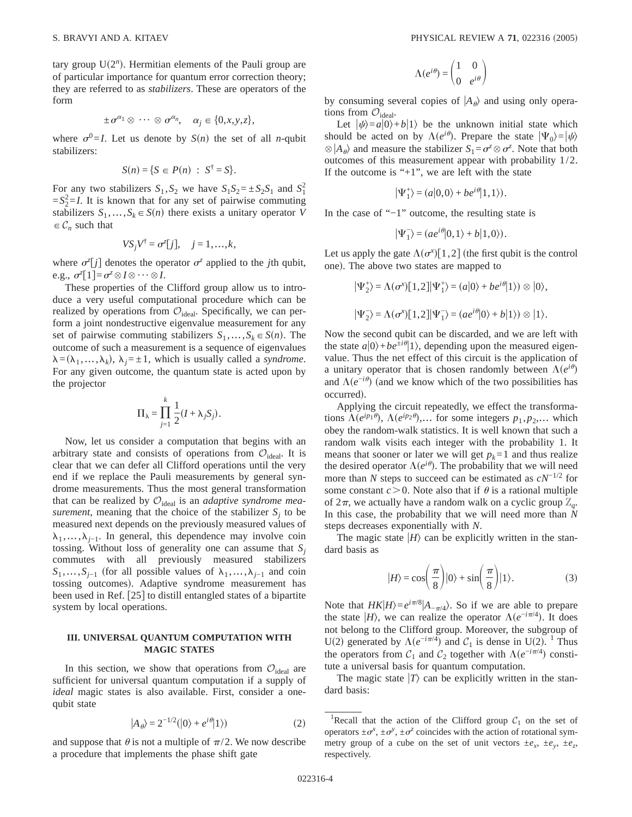tary group  $U(2^n)$ . Hermitian elements of the Pauli group are of particular importance for quantum error correction theory; they are referred to as *stabilizers*. These are operators of the form

$$
\pm \sigma^{\alpha_1} \otimes \cdots \otimes \sigma^{\alpha_n}, \quad \alpha_j \in \{0, x, y, z\},\
$$

where  $\sigma^0 = I$ . Let us denote by  $S(n)$  the set of all *n*-qubit stabilizers:

$$
S(n) = \{ S \in P(n) : S^{\dagger} = S \}.
$$

For any two stabilizers  $S_1$ ,  $S_2$  we have  $S_1S_2 = \pm S_2S_1$  and  $S_1^2$  $=S_2^2 = I$ . It is known that for any set of pairwise commuting stabilizers  $S_1, \ldots, S_k \in S(n)$  there exists a unitary operator *V*  $\in \mathcal{C}_n$  such that

$$
VS_jV^{\dagger}=\sigma^z[j], \quad j=1,\ldots,k,
$$

where  $\sigma^2[j]$  denotes the operator  $\sigma^2$  applied to the *j*th qubit, e.g.,  $\sigma^z[1] = \sigma^z \otimes I \otimes \cdots \otimes I$ .

These properties of the Clifford group allow us to introduce a very useful computational procedure which can be realized by operations from  $\mathcal{O}_{\text{ideal}}$ . Specifically, we can perform a joint nondestructive eigenvalue measurement for any set of pairwise commuting stabilizers  $S_1, \ldots, S_k \in S(n)$ . The outcome of such a measurement is a sequence of eigenvalues  $\lambda = (\lambda_1, \ldots, \lambda_k)$ ,  $\lambda_j = \pm 1$ , which is usually called a *syndrome*. For any given outcome, the quantum state is acted upon by the projector

$$
\Pi_{\lambda} = \prod_{j=1}^{k} \frac{1}{2} (I + \lambda_j S_j).
$$

Now, let us consider a computation that begins with an arbitrary state and consists of operations from  $\mathcal{O}_{\text{ideal}}$ . It is clear that we can defer all Clifford operations until the very end if we replace the Pauli measurements by general syndrome measurements. Thus the most general transformation that can be realized by  $\mathcal{O}_{\text{ideal}}$  is an *adaptive syndrome measurement*, meaning that the choice of the stabilizer  $S_i$  to be measured next depends on the previously measured values of  $\lambda_1, \ldots, \lambda_{i-1}$ . In general, this dependence may involve coin tossing. Without loss of generality one can assume that  $S_i$ commutes with all previously measured stabilizers  $S_1$ ,…, $S_{j-1}$  (for all possible values of  $\lambda_1$ ,…, $\lambda_{j-1}$  and coin tossing outcomes). Adaptive syndrome measurement has been used in Ref. [25] to distill entangled states of a bipartite system by local operations.

# **III. UNIVERSAL QUANTUM COMPUTATION WITH MAGIC STATES**

In this section, we show that operations from  $\mathcal{O}_{\text{ideal}}$  are sufficient for universal quantum computation if a supply of *ideal* magic states is also available. First, consider a onequbit state

$$
|A_{\theta}\rangle = 2^{-1/2}(|0\rangle + e^{i\theta}|1\rangle)
$$
 (2)

and suppose that  $\theta$  is not a multiple of  $\pi/2$ . We now describe a procedure that implements the phase shift gate

$$
\Lambda(e^{i\theta}) = \begin{pmatrix} 1 & 0 \\ 0 & e^{i\theta} \end{pmatrix}
$$

by consuming several copies of  $|A_{\theta}\rangle$  and using only operations from  $\mathcal{O}_{\text{ideal}}$ .

Let  $|\psi\rangle = a|0\rangle + b|1\rangle$  be the unknown initial state which should be acted on by  $\Lambda(e^{i\theta})$ . Prepare the state  $|\Psi_0\rangle = |\psi\rangle$  $\otimes$   $|A_{\theta}\rangle$  and measure the stabilizer  $S_1 = \sigma^2 \otimes \sigma^2$ . Note that both outcomes of this measurement appear with probability 1/2. If the outcome is " $+1$ ", we are left with the state

$$
\left|\Psi_1^+\right\rangle=(a|0,0\rangle+be^{i\theta}|1,1\rangle).
$$

In the case of "−1" outcome, the resulting state is

$$
\left|\Psi_1^-\right\rangle=(ae^{i\theta}|0,1\rangle+b|1,0\rangle).
$$

Let us apply the gate  $\Lambda(\sigma^x)[1,2]$  (the first qubit is the control one). The above two states are mapped to

$$
|\Psi_2^+\rangle = \Lambda(\sigma^x)[1,2] |\Psi_1^+\rangle = (a|0\rangle + be^{i\theta}|1\rangle) \otimes |0\rangle,
$$
  

$$
|\Psi_2^-\rangle = \Lambda(\sigma^x)[1,2] |\Psi_1^-\rangle = (ae^{i\theta}|0\rangle + b|1\rangle) \otimes |1\rangle.
$$

Now the second qubit can be discarded, and we are left with the state  $a|0\rangle + be^{\pm i\theta}|1\rangle$ , depending upon the measured eigenvalue. Thus the net effect of this circuit is the application of a unitary operator that is chosen randomly between  $\Lambda(e^{i\theta})$ and  $\Lambda(e^{-i\theta})$  (and we know which of the two possibilities has occurred).

Applying the circuit repeatedly, we effect the transformations  $\Lambda(e^{ip_1\theta})$ ,  $\Lambda(e^{ip_2\theta})$ ,… for some integers  $p_1, p_2,...$  which obey the random-walk statistics. It is well known that such a random walk visits each integer with the probability 1. It means that sooner or later we will get  $p_k = 1$  and thus realize the desired operator  $\Lambda(e^{i\theta})$ . The probability that we will need more than *N* steps to succeed can be estimated as *cN*−1/2 for some constant  $c > 0$ . Note also that if  $\theta$  is a rational multiple of  $2\pi$ , we actually have a random walk on a cyclic group  $\mathbb{Z}_q$ . In this case, the probability that we will need more than *N* steps decreases exponentially with *N*.

The magic state  $|H\rangle$  can be explicitly written in the standard basis as

$$
|H\rangle = \cos\left(\frac{\pi}{8}\right)|0\rangle + \sin\left(\frac{\pi}{8}\right)|1\rangle. \tag{3}
$$

Note that  $HK|H\rangle=e^{i\pi/8}|A_{-\pi/4}\rangle$ . So if we are able to prepare the state  $|H\rangle$ , we can realize the operator  $\Lambda(e^{-i\pi/4})$ . It does not belong to the Clifford group. Moreover, the subgroup of U(2) generated by  $\Lambda(e^{-i\pi/4})$  and  $C_1$  is dense in U(2). <sup>1</sup> Thus the operators from  $C_1$  and  $C_2$  together with  $\Lambda(e^{-i\pi/4})$  constitute a universal basis for quantum computation.

The magic state  $|T\rangle$  can be explicitly written in the standard basis:

<sup>&</sup>lt;sup>1</sup>Recall that the action of the Clifford group  $C_1$  on the set of operators  $\pm \sigma^x$ ,  $\pm \sigma^y$ ,  $\pm \sigma^z$  coincides with the action of rotational symmetry group of a cube on the set of unit vectors  $\pm e_x$ ,  $\pm e_y$ ,  $\pm e_z$ , respectively.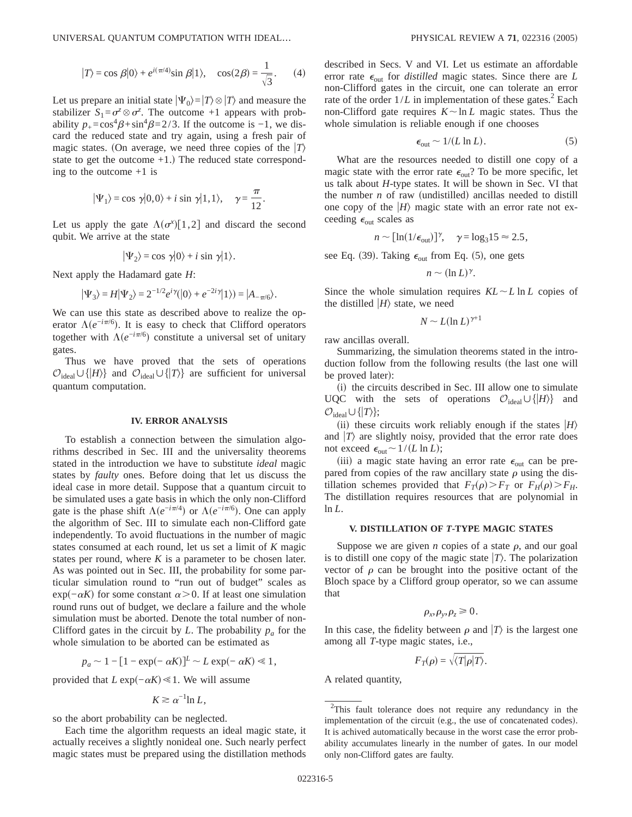$$
|T\rangle = \cos \beta |0\rangle + e^{i(\pi/4)} \sin \beta |1\rangle, \quad \cos(2\beta) = \frac{1}{\sqrt{3}}.
$$
 (4)

Let us prepare an initial state  $|\Psi_0\rangle = |T\rangle \otimes |T\rangle$  and measure the stabilizer  $S_1 = \sigma^z \otimes \sigma^z$ . The outcome +1 appears with probability  $p_{+} = \cos^{4} \beta + \sin^{4} \beta = 2/3$ . If the outcome is -1, we discard the reduced state and try again, using a fresh pair of magic states. (On average, we need three copies of the  $|T\rangle$ state to get the outcome  $+1$ .) The reduced state corresponding to the outcome +1 is

$$
|\Psi_1\rangle = \cos \gamma |0,0\rangle + i \sin \gamma |1,1\rangle, \quad \gamma = \frac{\pi}{12}.
$$

Let us apply the gate  $\Lambda(\sigma^x)[1,2]$  and discard the second qubit. We arrive at the state

$$
|\Psi_2\rangle = \cos \gamma |0\rangle + i \sin \gamma |1\rangle.
$$

Next apply the Hadamard gate *H*:

$$
|\Psi_3\rangle = H|\Psi_2\rangle = 2^{-1/2}e^{i\gamma}(|0\rangle + e^{-2i\gamma}|1\rangle) = |A_{-\pi/6}\rangle.
$$

We can use this state as described above to realize the operator  $\Lambda(e^{-i\pi/6})$ . It is easy to check that Clifford operators together with  $\Lambda(e^{-i\pi/6})$  constitute a universal set of unitary gates.

Thus we have proved that the sets of operations  $\mathcal{O}_{\text{ideal}} \cup \{|H\rangle\}$  and  $\mathcal{O}_{\text{ideal}} \cup \{|T\rangle\}$  are sufficient for universal quantum computation.

#### **IV. ERROR ANALYSIS**

To establish a connection between the simulation algorithms described in Sec. III and the universality theorems stated in the introduction we have to substitute *ideal* magic states by *faulty* ones. Before doing that let us discuss the ideal case in more detail. Suppose that a quantum circuit to be simulated uses a gate basis in which the only non-Clifford gate is the phase shift  $\Lambda(e^{-i\pi/4})$  or  $\Lambda(e^{-i\pi/6})$ . One can apply the algorithm of Sec. III to simulate each non-Clifford gate independently. To avoid fluctuations in the number of magic states consumed at each round, let us set a limit of *K* magic states per round, where  $K$  is a parameter to be chosen later. As was pointed out in Sec. III, the probability for some particular simulation round to "run out of budget" scales as  $\exp(-\alpha K)$  for some constant  $\alpha > 0$ . If at least one simulation round runs out of budget, we declare a failure and the whole simulation must be aborted. Denote the total number of non-Clifford gates in the circuit by *L*. The probability  $p_a$  for the whole simulation to be aborted can be estimated as

$$
p_a \sim 1 - [1 - \exp(-\alpha K)]^L \sim L \exp(-\alpha K) \ll 1,
$$

provided that  $L \exp(-\alpha K) \ll 1$ . We will assume

$$
K \gtrsim \alpha^{-1} \ln L,
$$

so the abort probability can be neglected.

Each time the algorithm requests an ideal magic state, it actually receives a slightly nonideal one. Such nearly perfect magic states must be prepared using the distillation methods described in Secs. V and VI. Let us estimate an affordable error rate  $\epsilon_{\text{out}}$  for *distilled* magic states. Since there are *L* non-Clifford gates in the circuit, one can tolerate an error rate of the order  $1/L$  in implementation of these gates.<sup>2</sup> Each non-Clifford gate requires  $K \sim \ln L$  magic states. Thus the whole simulation is reliable enough if one chooses

$$
\epsilon_{\text{out}} \sim 1/(L \ln L). \tag{5}
$$

What are the resources needed to distill one copy of a magic state with the error rate  $\epsilon_{\text{out}}$ ? To be more specific, let us talk about *H*-type states. It will be shown in Sec. VI that the number  $n$  of raw (undistilled) ancillas needed to distill one copy of the  $|H\rangle$  magic state with an error rate not exceeding  $\epsilon_{\text{out}}$  scales as

$$
n \sim [\ln(1/\epsilon_{\text{out}})]^{\gamma}, \quad \gamma = \log_3 15 \approx 2.5,
$$

see Eq. (39). Taking  $\epsilon_{\text{out}}$  from Eq. (5), one gets

$$
n \sim (\ln L)^{\gamma}.
$$

Since the whole simulation requires  $KL \sim L \ln L$  copies of the distilled  $|H\rangle$  state, we need

$$
N \sim L(\ln L)^{\gamma + 1}
$$

raw ancillas overall.

Summarizing, the simulation theorems stated in the introduction follow from the following results (the last one will be proved later):

(i) the circuits described in Sec. III allow one to simulate UQC with the sets of operations  $\mathcal{O}_{\text{ideal}} \cup \{|H\rangle\}$  and  $\mathcal{O}_{\text{ideal}} \cup \{|T\rangle\};$ 

(ii) these circuits work reliably enough if the states  $|H\rangle$ and  $|T\rangle$  are slightly noisy, provided that the error rate does not exceed  $\epsilon_{\text{out}} \sim 1/(L \ln L)$ ;

(iii) a magic state having an error rate  $\epsilon_{\text{out}}$  can be prepared from copies of the raw ancillary state  $\rho$  using the distillation schemes provided that  $F_T(\rho) > F_T$  or  $F_H(\rho) > F_H$ . The distillation requires resources that are polynomial in ln *L*.

### **V. DISTILLATION OF** *T***-TYPE MAGIC STATES**

Suppose we are given *n* copies of a state  $\rho$ , and our goal is to distill one copy of the magic state  $|T\rangle$ . The polarization vector of  $\rho$  can be brought into the positive octant of the Bloch space by a Clifford group operator, so we can assume that

$$
\rho_x, \rho_y, \rho_z \geq 0.
$$

In this case, the fidelity between  $\rho$  and  $|T\rangle$  is the largest one among all *T*-type magic states, i.e.,

$$
F_T(\rho) = \sqrt{\langle T|\rho|T\rangle}.
$$

A related quantity,

 $2$ This fault tolerance does not require any redundancy in the implementation of the circuit (e.g., the use of concatenated codes). It is achived automatically because in the worst case the error probability accumulates linearly in the number of gates. In our model only non-Clifford gates are faulty.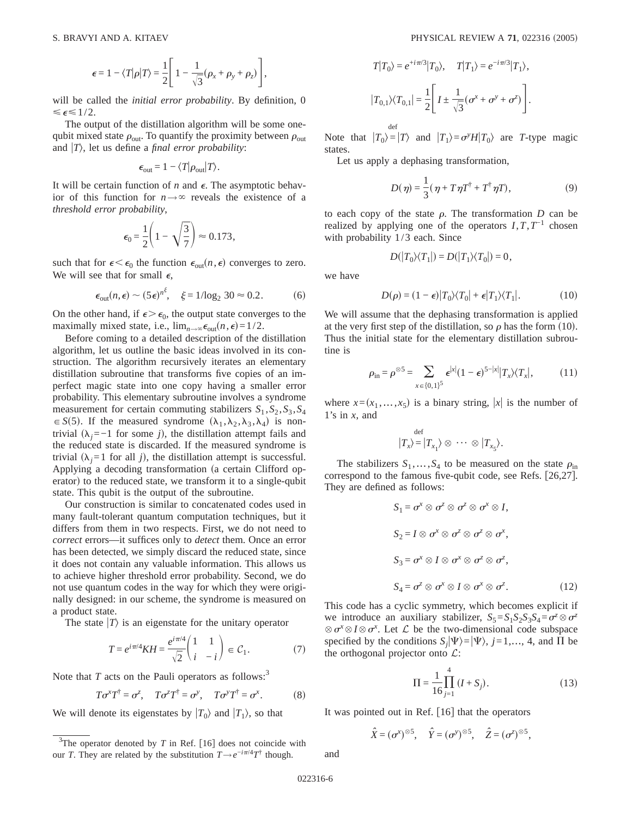$$
\epsilon = 1 - \langle T | \rho | T \rangle = \frac{1}{2} \left[ 1 - \frac{1}{\sqrt{3}} (\rho_x + \rho_y + \rho_z) \right],
$$

will be called the *initial error probability*. By definition, 0  $\leq \epsilon \leq 1/2$ .

The output of the distillation algorithm will be some onequbit mixed state  $\rho_{\text{out}}$ . To quantify the proximity between  $\rho_{\text{out}}$ and  $|T\rangle$ , let us define a *final error probability*:

$$
\epsilon_{\rm out} = 1 - \langle T|\rho_{\rm out}|T\rangle.
$$

It will be certain function of  $n$  and  $\epsilon$ . The asymptotic behavior of this function for  $n \rightarrow \infty$  reveals the existence of a *threshold error probability*,

$$
\epsilon_0 = \frac{1}{2} \left( 1 - \sqrt{\frac{3}{7}} \right) \approx 0.173,
$$

such that for  $\epsilon < \epsilon_0$  the function  $\epsilon_{\text{out}}(n, \epsilon)$  converges to zero. We will see that for small  $\epsilon$ ,

$$
\epsilon_{\text{out}}(n, \epsilon) \sim (5\epsilon)^{n^{\xi}}, \quad \xi = 1/\log_2 30 \approx 0.2.
$$
 (6)

On the other hand, if  $\epsilon > \epsilon_0$ , the output state converges to the maximally mixed state, i.e.,  $\lim_{n\to\infty} \epsilon_{\text{out}}(n, \epsilon) = 1/2$ .

Before coming to a detailed description of the distillation algorithm, let us outline the basic ideas involved in its construction. The algorithm recursively iterates an elementary distillation subroutine that transforms five copies of an imperfect magic state into one copy having a smaller error probability. This elementary subroutine involves a syndrome measurement for certain commuting stabilizers  $S_1$ ,  $S_2$ ,  $S_3$ ,  $S_4$  $\epsilon \in S(5)$ . If the measured syndrome  $(\lambda_1, \lambda_2, \lambda_3, \lambda_4)$  is nontrivial  $(\lambda_j = −1$  for some *j*), the distillation attempt fails and the reduced state is discarded. If the measured syndrome is trivial  $(\lambda_i=1$  for all *j*), the distillation attempt is successful. Applying a decoding transformation (a certain Clifford operator) to the reduced state, we transform it to a single-qubit state. This qubit is the output of the subroutine.

Our construction is similar to concatenated codes used in many fault-tolerant quantum computation techniques, but it differs from them in two respects. First, we do not need to *correct* errors—it suffices only to *detect* them. Once an error has been detected, we simply discard the reduced state, since it does not contain any valuable information. This allows us to achieve higher threshold error probability. Second, we do not use quantum codes in the way for which they were originally designed: in our scheme, the syndrome is measured on a product state.

The state  $|T\rangle$  is an eigenstate for the unitary operator

$$
T = e^{i\pi/4}KH = \frac{e^{i\pi/4}}{\sqrt{2}} \begin{pmatrix} 1 & 1\\ i & -i \end{pmatrix} \in \mathcal{C}_1.
$$
 (7)

Note that  $T$  acts on the Pauli operators as follows:<sup>3</sup>

$$
T\sigma^x T^{\dagger} = \sigma^z
$$
,  $T\sigma^z T^{\dagger} = \sigma^y$ ,  $T\sigma^y T^{\dagger} = \sigma^x$ . (8)

We will denote its eigenstates by  $|T_0\rangle$  and  $|T_1\rangle$ , so that

$$
T|T_0\rangle = e^{i\pi/3}|T_0\rangle, \quad T|T_1\rangle = e^{-i\pi/3}|T_1\rangle,
$$
  

$$
|T_{0,1}\rangle\langle T_{0,1}| = \frac{1}{2}\left[I \pm \frac{1}{\sqrt{3}}(\sigma^x + \sigma^y + \sigma^z)\right].
$$

Note that  $|T_0\rangle = |T\rangle$  and  $|T_1\rangle = \sigma^{\gamma}H|T_0\rangle$  are *T*-type magic states.

Let us apply a dephasing transformation,

def

$$
D(\eta) = \frac{1}{3}(\eta + T\eta T^{\dagger} + T^{\dagger}\eta T), \qquad (9)
$$

to each copy of the state  $\rho$ . The transformation *D* can be realized by applying one of the operators  $I, T, T^{-1}$  chosen with probability 1/3 each. Since

$$
D(|T_0\rangle\langle T_1|)=D(|T_1\rangle\langle T_0|)=0\,,
$$

we have

$$
D(\rho) = (1 - \epsilon)|T_0\rangle\langle T_0| + \epsilon|T_1\rangle\langle T_1|.
$$
 (10)

We will assume that the dephasing transformation is applied at the very first step of the distillation, so  $\rho$  has the form (10). Thus the initial state for the elementary distillation subroutine is

$$
\rho_{\rm in} = \rho^{\otimes 5} = \sum_{x \in \{0,1\}^5} \epsilon^{|x|} (1 - \epsilon)^{5 - |x|} |T_x\rangle\langle T_x|, \tag{11}
$$

where  $x=(x_1, \ldots, x_5)$  is a binary string, |x| is the number of 1's in  $x$ , and

$$
|T_x\rangle = |T_{x_1}\rangle \otimes \cdots \otimes |T_{x_5}\rangle.
$$

The stabilizers  $S_1$ ,...,  $S_4$  to be measured on the state  $\rho_{\text{in}}$ correspond to the famous five-qubit code, see Refs.  $[26,27]$ . They are defined as follows:

$$
S_1 = \sigma^x \otimes \sigma^z \otimes \sigma^z \otimes \sigma^x \otimes I,
$$
  
\n
$$
S_2 = I \otimes \sigma^x \otimes \sigma^z \otimes \sigma^z \otimes \sigma^x,
$$
  
\n
$$
S_3 = \sigma^x \otimes I \otimes \sigma^x \otimes \sigma^z \otimes \sigma^z,
$$
  
\n
$$
S_4 = \sigma^z \otimes \sigma^x \otimes I \otimes \sigma^x \otimes \sigma^z.
$$
 (12)

This code has a cyclic symmetry, which becomes explicit if we introduce an auxiliary stabilizer,  $S_5 = S_1 S_2 S_3 S_4 = \sigma^2 \otimes \sigma^2$  $\otimes$   $\sigma^x \otimes I \otimes \sigma^x$ . Let  $\mathcal L$  be the two-dimensional code subspace specified by the conditions  $S_i|\Psi\rangle=|\Psi\rangle$ ,  $j=1,..., 4$ , and  $\Pi$  be the orthogonal projector onto  $\mathcal{L}$ :

$$
\Pi = \frac{1}{16} \prod_{j=1}^{4} (I + S_j).
$$
 (13)

It was pointed out in Ref.  $[16]$  that the operators

$$
\hat{X} = (\sigma^x)^{\otimes 5}, \quad \hat{Y} = (\sigma^y)^{\otimes 5}, \quad \hat{Z} = (\sigma^z)^{\otimes 5},
$$

and

 $3$ The operator denoted by *T* in Ref. [16] does not coincide with our *T*. They are related by the substitution  $T \rightarrow e^{-i\pi/4}T^{\dagger}$  though.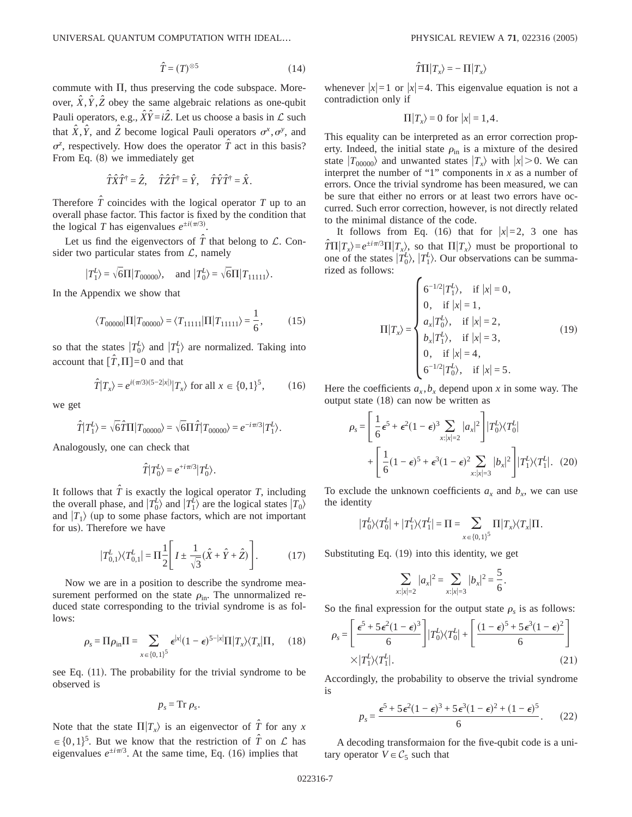$$
\hat{T} = (T)^{\otimes 5} \tag{14}
$$

commute with  $\Pi$ , thus preserving the code subspace. Moreover,  $\hat{X}$ ,  $\hat{Y}$ ,  $\hat{Z}$  obey the same algebraic relations as one-qubit Pauli operators, e.g.,  $\hat{X}\hat{Y} = i\hat{Z}$ . Let us choose a basis in  $\mathcal L$  such that  $\hat{X}$ ,  $\hat{Y}$ , and  $\hat{Z}$  become logical Pauli operators  $\sigma^x$ ,  $\sigma^y$ , and  $\sigma^z$ , respectively. How does the operator  $\hat{T}$  act in this basis? From Eq.  $(8)$  we immediately get

$$
\hat{T}\hat{X}\hat{T}^{\dagger} = \hat{Z}, \quad \hat{T}\hat{Z}\hat{T}^{\dagger} = \hat{Y}, \quad \hat{T}\hat{Y}\hat{T}^{\dagger} = \hat{X}.
$$

Therefore  $\hat{T}$  coincides with the logical operator  $T$  up to an overall phase factor. This factor is fixed by the condition that the logical *T* has eigenvalues  $e^{\pm i(\pi/3)}$ .

Let us find the eigenvectors of  $\hat{T}$  that belong to  $\mathcal{L}$ . Consider two particular states from  $\mathcal{L}$ , namely

$$
|T_1^L\rangle=\sqrt{6}\Pi|T_{00000}\rangle,\quad\text{ and }|T_0^L\rangle=\sqrt{6}\Pi|T_{11111}\rangle.
$$

In the Appendix we show that

$$
\langle T_{00000} | \Pi | T_{00000} \rangle = \langle T_{11111} | \Pi | T_{11111} \rangle = \frac{1}{6},\tag{15}
$$

so that the states  $|T_0^L\rangle$  and  $|T_1^L\rangle$  are normalized. Taking into account that  $[\hat{T}, \Pi]=0$  and that

$$
\hat{T}|T_x\rangle = e^{i(\pi/3)(5-2|x|)}|T_x\rangle
$$
 for all  $x \in \{0,1\}^5$ , (16)

we get

$$
\hat{T}|T_1^L\rangle = \sqrt{6}\hat{T}\Pi|T_{00000}\rangle = \sqrt{6}\Pi\hat{T}|T_{00000}\rangle = e^{-i\pi/3}|T_1^L\rangle.
$$

Analogously, one can check that

$$
\hat T|T^L_0\rangle=e^{+i\pi/3}|T^L_0\rangle\,.
$$

It follows that  $\hat{T}$  is exactly the logical operator *T*, including the overall phase, and  $|T_0^L\rangle$  and  $|T_1^L\rangle$  are the logical states  $|T_0\rangle$ and  $|T_1\rangle$  (up to some phase factors, which are not important for us). Therefore we have

$$
|T_{0,1}^{L}\rangle\langle T_{0,1}^{L}| = \Pi \frac{1}{2} \left[ I \pm \frac{1}{\sqrt{3}} (\hat{X} + \hat{Y} + \hat{Z}) \right].
$$
 (17)

Now we are in a position to describe the syndrome measurement performed on the state  $\rho_{\text{in}}$ . The unnormalized reduced state corresponding to the trivial syndrome is as follows:

$$
\rho_s = \Pi \rho_{\text{in}} \Pi = \sum_{x \in \{0,1\}^5} \epsilon^{|x|} (1 - \epsilon)^{5 - |x|} \Pi |T_x\rangle \langle T_x| \Pi, \quad (18)
$$

see Eq.  $(11)$ . The probability for the trivial syndrome to be observed is

$$
p_s = \mathrm{Tr} \, \rho_s.
$$

Note that the state  $\Pi|T_x\rangle$  is an eigenvector of  $\hat{T}$  for any *x*  $\in \{0,1\}^5$ . But we know that the restriction of  $\hat{T}$  on  $\hat{\mathcal{L}}$  has eigenvalues  $e^{\pm i\pi/3}$ . At the same time, Eq. (16) implies that

$$
\hat{T}\Pi|T_x\rangle\,{=}\,{-}\,\Pi|T_x\rangle
$$

whenever  $|x|=1$  or  $|x|=4$ . This eigenvalue equation is not a contradiction only if

$$
\Pi|T_x\rangle = 0 \text{ for } |x| = 1, 4.
$$

This equality can be interpreted as an error correction property. Indeed, the initial state  $\rho_{\text{in}}$  is a mixture of the desired state  $|T_{00000}\rangle$  and unwanted states  $|T_x\rangle$  with  $|x| > 0$ . We can interpret the number of "1" components in  $x$  as a number of errors. Once the trivial syndrome has been measured, we can be sure that either no errors or at least two errors have occurred. Such error correction, however, is not directly related to the minimal distance of the code.

It follows from Eq. (16) that for  $|x|=2$ , 3 one has  $\hat{T}\Pi|T_x\rangle = e^{\pm i\pi/3}\Pi|T_x\rangle$ , so that  $\Pi|T_x\rangle$  must be proportional to one of the states  $|T_0^L\rangle$ ,  $|T_1^L\rangle$ . Our observations can be summarized as follows:

$$
\Pi|T_x\rangle = \begin{cases}\n6^{-1/2}|T_1^L\rangle, & \text{if } |x| = 0, \\
0, & \text{if } |x| = 1, \\
a_x|T_0^L\rangle, & \text{if } |x| = 2, \\
b_x|T_1^L\rangle, & \text{if } |x| = 3, \\
0, & \text{if } |x| = 4, \\
6^{-1/2}|T_0^L\rangle, & \text{if } |x| = 5.\n\end{cases}
$$
\n(19)

Here the coefficients  $a_x$ ,  $b_x$  depend upon x in some way. The output state  $(18)$  can now be written as

$$
\rho_s = \left[ \frac{1}{6} \epsilon^5 + \epsilon^2 (1 - \epsilon)^3 \sum_{x:|x|=2} |a_x|^2 \right] |T_0^L \rangle \langle T_0^L|
$$
  
+ 
$$
\left[ \frac{1}{6} (1 - \epsilon)^5 + \epsilon^3 (1 - \epsilon)^2 \sum_{x:|x|=3} |b_x|^2 \right] |T_1^L \rangle \langle T_1^L|.
$$
 (20)

To exclude the unknown coefficients  $a_x$  and  $b_x$ , we can use the identity

$$
\big|T_0^L \big\rangle \big\langle T_0^L \big| + \big|T_1^L \big\rangle \big\langle T_1^L \big| = \Pi = \sum_{x \in \{0,1\}^5} \Pi \big| T_x \big\rangle \big\langle T_x \big| \Pi.
$$

Substituting Eq.  $(19)$  into this identity, we get

$$
\sum_{x:|x|=2} |a_x|^2 = \sum_{x:|x|=3} |b_x|^2 = \frac{5}{6}.
$$

So the final expression for the output state  $\rho_s$  is as follows:

$$
\rho_s = \left[ \frac{\epsilon^5 + 5\epsilon^2 (1 - \epsilon)^3}{6} \right] |T_0^L\rangle\langle T_0^L| + \left[ \frac{(1 - \epsilon)^5 + 5\epsilon^3 (1 - \epsilon)^2}{6} \right] \times |T_1^L\rangle\langle T_1^L|.
$$
\n(21)

Accordingly, the probability to observe the trivial syndrome is

$$
p_s = \frac{\epsilon^5 + 5\epsilon^2 (1 - \epsilon)^3 + 5\epsilon^3 (1 - \epsilon)^2 + (1 - \epsilon)^5}{6}.
$$
 (22)

A decoding transformaion for the five-qubit code is a unitary operator  $V \in C_5$  such that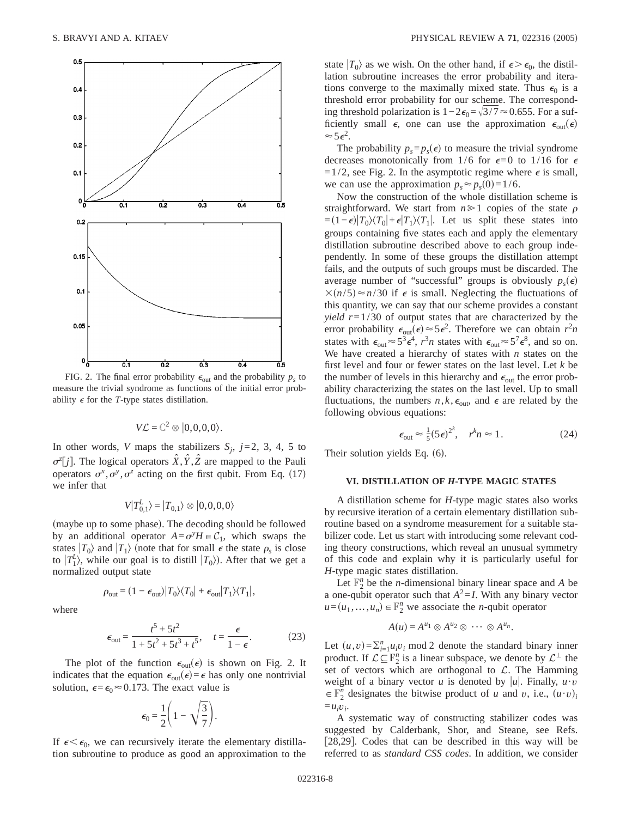

FIG. 2. The final error probability  $\epsilon_{\text{out}}$  and the probability  $p_s$  to measure the trivial syndrome as functions of the initial error probability  $\epsilon$  for the *T*-type states distillation.

$$
V\mathcal{L} = \mathbb{C}^2 \otimes |0,0,0,0\rangle.
$$

In other words, *V* maps the stabilizers  $S_i$ ,  $j=2, 3, 4, 5$  to  $\sigma^z[j]$ . The logical operators  $\hat{X}, \hat{Y}, \hat{Z}$  are mapped to the Pauli operators  $\sigma^x$ ,  $\sigma^y$ ,  $\sigma^z$  acting on the first qubit. From Eq. (17) we infer that

$$
V|T_{0,1}^L\rangle = |T_{0,1}\rangle \otimes |0,0,0,0\rangle
$$

(maybe up to some phase). The decoding should be followed by an additional operator  $A = \sigma^y H \in C_1$ , which swaps the states  $|T_0\rangle$  and  $|T_1\rangle$  (note that for small  $\epsilon$  the state  $\rho_s$  is close to  $|T_1^L\rangle$ , while our goal is to distill  $|T_0\rangle$ ). After that we get a normalized output state

$$
\rho_{\text{out}} = (1 - \epsilon_{\text{out}}) |T_0\rangle\langle T_0| + \epsilon_{\text{out}} |T_1\rangle\langle T_1|,
$$

where

$$
\epsilon_{\text{out}} = \frac{t^5 + 5t^2}{1 + 5t^2 + 5t^3 + t^5}, \quad t = \frac{\epsilon}{1 - \epsilon}.
$$
 (23)

The plot of the function  $\epsilon_{\text{out}}(\epsilon)$  is shown on Fig. 2. It indicates that the equation  $\epsilon_{\text{out}}(\epsilon) = \epsilon$  has only one nontrivial solution,  $\epsilon = \epsilon_0 \approx 0.173$ . The exact value is

$$
\epsilon_0 = \frac{1}{2} \left( 1 - \sqrt{\frac{3}{7}} \right).
$$

If  $\epsilon < \epsilon_0$ , we can recursively iterate the elementary distillation subroutine to produce as good an approximation to the state  $|T_0\rangle$  as we wish. On the other hand, if  $\epsilon > \epsilon_0$ , the distillation subroutine increases the error probability and iterations converge to the maximally mixed state. Thus  $\epsilon_0$  is a threshold error probability for our scheme. The corresponding threshold polarization is  $1-2\epsilon_0=\sqrt{3}/7\approx 0.655$ . For a sufficiently small  $\epsilon$ , one can use the approximation  $\epsilon_{out}(\epsilon)$  $\approx 5\epsilon^2$ .

The probability  $p_s = p_s(\epsilon)$  to measure the trivial syndrome decreases monotonically from 1/6 for  $\epsilon = 0$  to 1/16 for  $\epsilon$  $=1/2$ , see Fig. 2. In the asymptotic regime where  $\epsilon$  is small, we can use the approximation  $p_s \approx p_s(0) = 1/6$ .

Now the construction of the whole distillation scheme is straightforward. We start from  $n \ge 1$  copies of the state  $\rho$  $= (1 - \epsilon)|T_0\rangle\langle T_0| + \epsilon|T_1\rangle\langle T_1|$ . Let us split these states into groups containing five states each and apply the elementary distillation subroutine described above to each group independently. In some of these groups the distillation attempt fails, and the outputs of such groups must be discarded. The average number of "successful" groups is obviously  $p_s(\epsilon)$  $\times$ (*n*/5) $\approx$ *n*/30 if  $\epsilon$  is small. Neglecting the fluctuations of this quantity, we can say that our scheme provides a constant *yield r*=1/30 of output states that are characterized by the error probability  $\epsilon_{\text{out}}(\epsilon) \approx 5\epsilon^2$ . Therefore we can obtain  $r^2n$ states with  $\epsilon_{\text{out}} \approx 5^3 \epsilon^4$ ,  $r^3 n$  states with  $\epsilon_{\text{out}} \approx 5^7 \epsilon^8$ , and so on. We have created a hierarchy of states with *n* states on the first level and four or fewer states on the last level. Let *k* be the number of levels in this hierarchy and  $\epsilon_{\text{out}}$  the error probability characterizing the states on the last level. Up to small fluctuations, the numbers  $n, k, \epsilon_{\text{out}}$ , and  $\epsilon$  are related by the following obvious equations:

$$
\epsilon_{\text{out}} \approx \frac{1}{5} (5\epsilon)^{2^k}, \quad r^k n \approx 1. \tag{24}
$$

Their solution yields Eq.  $(6)$ .

# **VI. DISTILLATION OF** *H***-TYPE MAGIC STATES**

A distillation scheme for *H*-type magic states also works by recursive iteration of a certain elementary distillation subroutine based on a syndrome measurement for a suitable stabilizer code. Let us start with introducing some relevant coding theory constructions, which reveal an unusual symmetry of this code and explain why it is particularly useful for *H*-type magic states distillation.

Let  $\mathbb{F}_2^n$  be the *n*-dimensional binary linear space and *A* be a one-qubit operator such that  $A^2 = I$ . With any binary vector  $u = (u_1, \ldots, u_n) \in \mathbb{F}_2^n$  we associate the *n*-qubit operator

$$
A(u) = A^{u_1} \otimes A^{u_2} \otimes \cdots \otimes A^{u_n}.
$$

Let  $(u, v) = \sum_{i=1}^{n} u_i v_i$  mod 2 denote the standard binary inner product. If  $\mathcal{L} \subseteq \mathbb{F}_2^n$  is a linear subspace, we denote by  $\mathcal{L}^{\perp}$  the set of vectors which are orthogonal to  $\mathcal{L}$ . The Hamming weight of a binary vector *u* is denoted by |u|. Finally,  $u \cdot v$  $\in$   $\mathbb{F}_2^n$  designates the bitwise product of *u* and *v*, i.e.,  $(u \cdot v)_i$  $=u_i v_i$ 

A systematic way of constructing stabilizer codes was suggested by Calderbank, Shor, and Steane, see Refs. [28,29]. Codes that can be described in this way will be referred to as *standard CSS codes*. In addition, we consider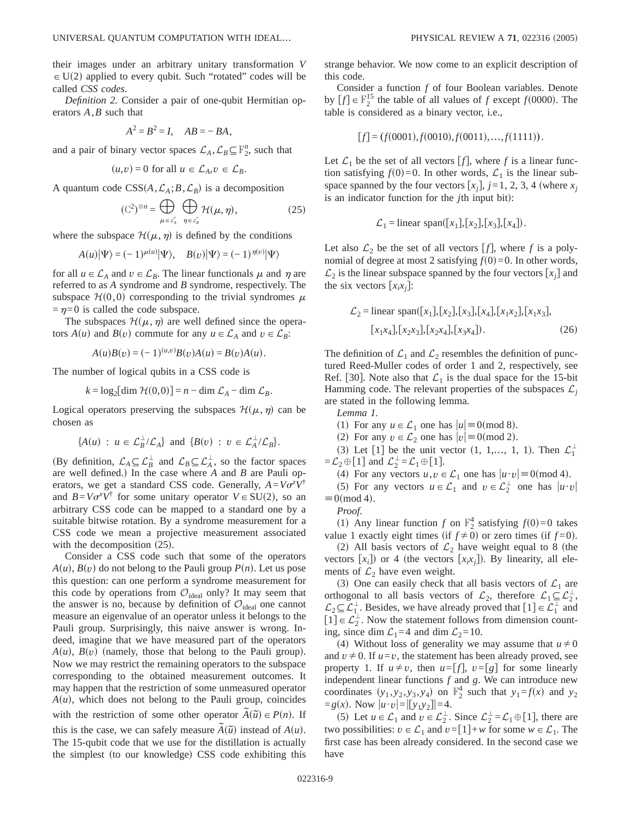*Definition 2.* Consider a pair of one-qubit Hermitian operators *A*,*B* such that

$$
A^2 = B^2 = I, AB = -BA,
$$

and a pair of binary vector spaces  $\mathcal{L}_A$ ,  $\mathcal{L}_B \subseteq \mathbb{F}_2^n$ , such that

$$
(u,v) = 0
$$
 for all  $u \in \mathcal{L}_A, v \in \mathcal{L}_B$ .

A quantum code  $CSS(A, \mathcal{L}_A; B, \mathcal{L}_B)$  is a decomposition

$$
(\mathbb{C}^2)^{\otimes n} = \bigoplus_{\mu \in \mathcal{L}_\lambda^*} \bigoplus_{\eta \in \mathcal{L}_B^*} \mathcal{H}(\mu, \eta), \tag{25}
$$

where the subspace  $\mathcal{H}(\mu,\eta)$  is defined by the conditions

$$
A(u)|\Psi\rangle = (-1)^{\mu(u)}|\Psi\rangle, \quad B(v)|\Psi\rangle = (-1)^{\eta(v)}|\Psi\rangle
$$

for all  $u \in \mathcal{L}_A$  and  $v \in \mathcal{L}_B$ . The linear functionals  $\mu$  and  $\eta$  are referred to as *A* syndrome and *B* syndrome, respectively. The subspace  $\mathcal{H}(0,0)$  corresponding to the trivial syndromes  $\mu$  $=\eta=0$  is called the code subspace.

The subspaces  $\mathcal{H}(\mu,\eta)$  are well defined since the operators  $A(u)$  and  $B(v)$  commute for any  $u \in \mathcal{L}_A$  and  $v \in \mathcal{L}_B$ :

$$
A(u)B(v) = (-1)^{(u,v)}B(v)A(u) = B(v)A(u).
$$

The number of logical qubits in a CSS code is

$$
k = \log_2[\dim \mathcal{H}(0,0)] = n - \dim \mathcal{L}_A - \dim \mathcal{L}_B.
$$

Logical operators preserving the subspaces  $\mathcal{H}(\mu,\eta)$  can be chosen as

$$
\{A(u) : u \in \mathcal{L}_B^{\perp}/\mathcal{L}_A\} \text{ and } \{B(v) : v \in \mathcal{L}_A^{\perp}/\mathcal{L}_B\}.
$$

(By definition,  $\mathcal{L}_A \subseteq \mathcal{L}_B^{\perp}$  and  $\mathcal{L}_B \subseteq \mathcal{L}_A^{\perp}$ , so the factor spaces are well defined.) In the case where  $A$  and  $B$  are Pauli operators, we get a standard CSS code. Generally,  $A = V\sigma^z V^{\dagger}$ and  $B=V\sigma^xV^{\dagger}$  for some unitary operator  $V \in SU(2)$ , so an arbitrary CSS code can be mapped to a standard one by a suitable bitwise rotation. By a syndrome measurement for a CSS code we mean a projective measurement associated with the decomposition  $(25)$ .

Consider a CSS code such that some of the operators  $A(u)$ ,  $B(v)$  do not belong to the Pauli group  $P(n)$ . Let us pose this question: can one perform a syndrome measurement for this code by operations from  $\mathcal{O}_{\text{ideal}}$  only? It may seem that the answer is no, because by definition of  $\mathcal{O}_{\text{ideal}}$  one cannot measure an eigenvalue of an operator unless it belongs to the Pauli group. Surprisingly, this naive answer is wrong. Indeed, imagine that we have measured part of the operators  $A(u)$ ,  $B(v)$  (namely, those that belong to the Pauli group). Now we may restrict the remaining operators to the subspace corresponding to the obtained measurement outcomes. It may happen that the restriction of some unmeasured operator  $A(u)$ , which does not belong to the Pauli group, coincides with the restriction of some other operator  $\tilde{A}(\tilde{u}) \in P(n)$ . If this is the case, we can safely measure  $\tilde{A}(\tilde{u})$  instead of  $A(u)$ . The 15-qubit code that we use for the distillation is actually the simplest (to our knowledge) CSS code exhibiting this strange behavior. We now come to an explicit description of this code.

Consider a function *f* of four Boolean variables. Denote by  $[f] \in \mathbb{F}_2^{15}$  the table of all values of *f* except *f*(0000). The table is considered as a binary vector, i.e.,

$$
[f] = (f(0001), f(0010), f(0011), \dots, f(1111)).
$$

Let  $\mathcal{L}_1$  be the set of all vectors  $[f]$ , where *f* is a linear function satisfying  $f(0)=0$ . In other words,  $\mathcal{L}_1$  is the linear subspace spanned by the four vectors  $[x_i]$ ,  $j=1, 2, 3, 4$  (where  $x_i$ is an indicator function for the *j*th input bit):

$$
\mathcal{L}_1 =
$$
linear span([x<sub>1</sub>],[x<sub>2</sub>],[x<sub>3</sub>],[x<sub>4</sub>]).

Let also  $\mathcal{L}_2$  be the set of all vectors  $[f]$ , where *f* is a polynomial of degree at most 2 satisfying  $f(0)=0$ . In other words,  $\mathcal{L}_2$  is the linear subspace spanned by the four vectors  $[x_i]$  and the six vectors  $[x_ix_j]$ :

$$
\mathcal{L}_2 = \text{linear span}([x_1], [x_2], [x_3], [x_4], [x_1x_2], [x_1x_3],
$$

$$
[x_1x_4], [x_2x_3], [x_2x_4], [x_3x_4]).
$$

$$
(26)
$$

The definition of  $\mathcal{L}_1$  and  $\mathcal{L}_2$  resembles the definition of punctured Reed-Muller codes of order 1 and 2, respectively, see Ref. [30]. Note also that  $\mathcal{L}_1$  is the dual space for the 15-bit Hamming code. The relevant properties of the subspaces  $\mathcal{L}_j$ are stated in the following lemma.

*Lemma 1.*

(1) For any  $u \in \mathcal{L}_1$  one has  $|u| \equiv 0 \pmod{8}$ .

(2) For any  $v \in \mathcal{L}_2$  one has  $|v| \equiv 0 \pmod{2}$ .

(3) Let  $\begin{bmatrix} 1 \end{bmatrix}$  be the unit vector  $(1, 1,..., 1, 1)$ . Then  $\mathcal{L}_1^{\perp}$  $=\mathcal{L}_2 \oplus [1]$  and  $\mathcal{L}_2^{\perp} = \mathcal{L}_1 \oplus [1]$ .

(4) For any vectors  $u, v \in \mathcal{L}_1$  one has  $|u \cdot v| \equiv 0 \pmod{4}$ .

(5) For any vectors  $u \in \mathcal{L}_1$  and  $v \in \mathcal{L}_2^{\perp}$  one has  $|u \cdot v|$  $\equiv 0 \pmod{4}$ .

*Proof.*

(1) Any linear function *f* on  $\mathbb{F}_2^4$  satisfying *f*(0)=0 takes value 1 exactly eight times (if  $f \neq 0$ ) or zero times (if  $f = 0$ ).

(2) All basis vectors of  $\mathcal{L}_2$  have weight equal to 8 (the vectors  $[x_i]$ ) or 4 (the vectors  $[x_ix_j]$ ). By linearity, all elements of  $\mathcal{L}_2$  have even weight.

(3) One can easily check that all basis vectors of  $\mathcal{L}_1$  are orthogonal to all basis vectors of  $\mathcal{L}_2$ , therefore  $\mathcal{L}_1 \subseteq \mathcal{L}_2^{\perp}$ ,  $\mathcal{L}_2 \subseteq \mathcal{L}_1^{\perp}$ . Besides, we have already proved that  $[1] \in \mathcal{L}_1^{\perp}$  and  $[1] \in \mathcal{L}_2^{\perp}$ . Now the statement follows from dimension counting, since dim  $\mathcal{L}_1=4$  and dim  $\mathcal{L}_2=10$ .

(4) Without loss of generality we may assume that  $u \neq 0$ and  $v \neq 0$ . If  $u=v$ , the statement has been already proved, see property 1. If  $u \neq v$ , then  $u = [f]$ ,  $v = [g]$  for some linearly independent linear functions *f* and *g*. We can introduce new coordinates  $(y_1, y_2, y_3, y_4)$  on  $\mathbb{F}_2^4$  such that  $y_1 = f(x)$  and  $y_2$  $= g(x)$ . Now  $|u \cdot v| = |[y_1y_2]| = 4$ .

(5) Let  $u \in \mathcal{L}_1$  and  $v \in \mathcal{L}_2^{\perp}$ . Since  $\mathcal{L}_2^{\perp} = \mathcal{L}_1 \oplus [1]$ , there are two possibilities:  $v \in \mathcal{L}_1$  and  $v = [1]+w$  for some  $w \in \mathcal{L}_1$ . The first case has been already considered. In the second case we have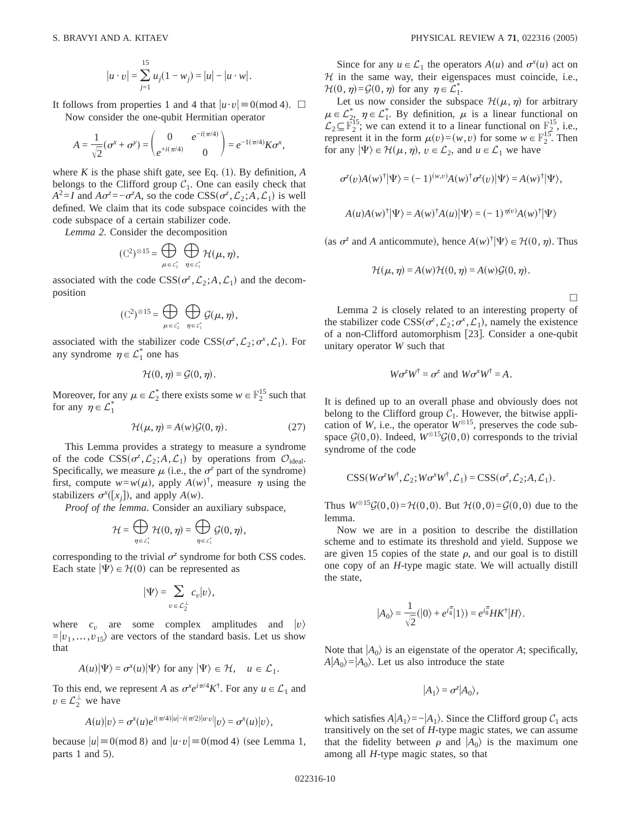$$
|u \cdot v| = \sum_{j=1}^{15} u_j (1 - w_j) = |u| - |u \cdot w|.
$$

It follows from properties 1 and 4 that  $|u \cdot v| \equiv 0 \pmod{4}$ .  $\Box$ Now consider the one-qubit Hermitian operator

$$
A = \frac{1}{\sqrt{2}} (\sigma^x + \sigma^y) = \begin{pmatrix} 0 & e^{-i(\pi/4)} \\ e^{+i(\pi/4)} & 0 \end{pmatrix} = e^{-1(\pi/4)} K \sigma^x,
$$

where  $K$  is the phase shift gate, see Eq.  $(1)$ . By definition,  $A$ belongs to the Clifford group  $C_1$ . One can easily check that  $A^2 = I$  and  $A\sigma^z = -\sigma^z A$ , so the code  $CSS(\sigma^z, \mathcal{L}_2; A, \mathcal{L}_1)$  is well defined. We claim that its code subspace coincides with the code subspace of a certain stabilizer code.

*Lemma 2.* Consider the decomposition

$$
(\mathbb{C}^2)^{\otimes 15} = \bigoplus_{\mu \in \mathcal{L}_2^*} \bigoplus_{\eta \in \mathcal{L}_1^*} \mathcal{H}(\mu, \eta),
$$

associated with the code  $CSS(\sigma^z, \mathcal{L}_2; A, \mathcal{L}_1)$  and the decomposition

$$
(\mathbb{C}^2)^{\otimes 15} = \bigoplus_{\mu \in \mathcal{L}_2^*} \ \bigoplus_{\eta \in \mathcal{L}_1^*} \mathcal{G}(\mu, \eta),
$$

associated with the stabilizer code  $CSS(\sigma^z, \mathcal{L}_2; \sigma^x, \mathcal{L}_1)$ . For any syndrome  $\eta \in \mathcal{L}_1^*$  one has

$$
\mathcal{H}(0,\eta)=\mathcal{G}(0,\eta).
$$

Moreover, for any  $\mu \in \mathcal{L}_2^*$  there exists some  $w \in \mathbb{F}_2^{15}$  such that for any  $\eta \in \mathcal{L}_1^*$ 

$$
\mathcal{H}(\mu, \eta) = A(w)\mathcal{G}(0, \eta). \tag{27}
$$

This Lemma provides a strategy to measure a syndrome of the code  $CSS(\sigma^z, \mathcal{L}_2; A, \mathcal{L}_1)$  by operations from  $\mathcal{O}_{ideal}$ . Specifically, we measure  $\mu$  (i.e., the  $\sigma^z$  part of the syndrome) first, compute  $w = w(\mu)$ , apply  $A(w)^{\dagger}$ , measure  $\eta$  using the stabilizers  $\sigma^x([x_j])$ , and apply  $A(w)$ .

*Proof of the lemma*. Consider an auxiliary subspace,

$$
\mathcal{H}=\bigoplus_{\eta\in\mathcal{L}_1^*}\mathcal{H}(0,\eta)=\bigoplus_{\eta\in\mathcal{L}_1^*}\mathcal{G}(0,\eta),
$$

corresponding to the trivial  $\sigma^z$  syndrome for both CSS codes. Each state  $|\Psi\rangle \in \mathcal{H}(0)$  can be represented as

$$
|\Psi\rangle = \sum_{v \in \mathcal{L}_2^{\perp}} c_v |v\rangle,
$$

where  $c_v$  are some complex amplitudes and  $|v\rangle$  $=|v_1, \ldots, v_{15}\rangle$  are vectors of the standard basis. Let us show that

$$
A(u)|\Psi\rangle = \sigma^x(u)|\Psi\rangle \text{ for any } |\Psi\rangle \in \mathcal{H}, \quad u \in \mathcal{L}_1.
$$

To this end, we represent *A* as  $\sigma^x e^{i\pi/4} K^{\dagger}$ . For any  $u \in \mathcal{L}_1$  and  $v \in \mathcal{L}_2^{\perp}$  we have

$$
A(u)|v\rangle = \sigma^{x}(u)e^{i(\pi/4)|u|-i(\pi/2)|u\cdot v|}|v\rangle = \sigma^{x}(u)|v\rangle,
$$

because  $|u| \equiv 0 \pmod{8}$  and  $|u \cdot v| \equiv 0 \pmod{4}$  (see Lemma 1, parts 1 and  $5$ ).

Since for any  $u \in \mathcal{L}_1$  the operators  $A(u)$  and  $\sigma^x(u)$  act on  $H$  in the same way, their eigenspaces must coincide, i.e.,  $\mathcal{H}(0, \eta) = \mathcal{G}(0, \eta)$  for any  $\eta \in \mathcal{L}_1^*$ .

Let us now consider the subspace  $\mathcal{H}(\mu,\eta)$  for arbitrary  $\mu \in \mathcal{L}_2^*$ ,  $\eta \in \mathcal{L}_1^*$ . By definition,  $\mu$  is a linear functional on  $\mathcal{L}_2 \subseteq \mathbb{F}_2^{15}$ ; we can extend it to a linear functional on  $\mathbb{F}_2^{15}$ , i.e., represent it in the form  $\mu(v)=(w,v)$  for some  $w \in \mathbb{F}_2^{15}$ . Then for any  $|\Psi\rangle \in \mathcal{H}(\mu, \eta), v \in \mathcal{L}_2$ , and  $u \in \mathcal{L}_1$  we have

$$
\sigma^{z}(v)A(w)^{\dagger}|\Psi\rangle = (-1)^{(w,v)}A(w)^{\dagger}\sigma^{z}(v)|\Psi\rangle = A(w)^{\dagger}|\Psi\rangle,
$$
  

$$
A(u)A(w)^{\dagger}|\Psi\rangle = A(w)^{\dagger}A(u)|\Psi\rangle = (-1)^{\eta(v)}A(w)^{\dagger}|\Psi\rangle
$$

(as  $\sigma^z$  and *A* anticommute), hence  $A(w)^\dagger |\Psi\rangle \in \mathcal{H}(0, \eta)$ . Thus

$$
\mathcal{H}(\mu, \eta) = A(w)\mathcal{H}(0, \eta) = A(w)\mathcal{G}(0, \eta).
$$

 $\Box$ 

Lemma 2 is closely related to an interesting property of the stabilizer code  $CSS(\sigma^z, \mathcal{L}_2; \sigma^x, \mathcal{L}_1)$ , namely the existence of a non-Clifford automorphism [23]. Consider a one-qubit unitary operator *W* such that

$$
W\sigma^z W^{\dagger} = \sigma^z
$$
 and  $W\sigma^x W^{\dagger} = A$ .

It is defined up to an overall phase and obviously does not belong to the Clifford group  $C_1$ . However, the bitwise application of *W*, i.e., the operator  $W^{\otimes 15}$ , preserves the code subspace  $\mathcal{G}(0,0)$ . Indeed,  $\hat{W}^{\otimes 15}\mathcal{G}(0,0)$  corresponds to the trivial syndrome of the code

$$
CSS(W\sigma^zW^{\dagger}, \mathcal{L}_2; W\sigma^xW^{\dagger}, \mathcal{L}_1) = CSS(\sigma^z, \mathcal{L}_2; A, \mathcal{L}_1).
$$

Thus  $W^{0,15}G(0,0) = H(0,0)$ . But  $H(0,0) = G(0,0)$  due to the lemma.

Now we are in a position to describe the distillation scheme and to estimate its threshold and yield. Suppose we are given 15 copies of the state  $\rho$ , and our goal is to distill one copy of an *H*-type magic state. We will actually distill the state,

$$
|A_0\rangle = \frac{1}{\sqrt{2}}(|0\rangle + e^{i\frac{\pi}{4}}|1\rangle) = e^{i\frac{\pi}{8}}HK^{\dagger}|H\rangle.
$$

Note that  $|A_0\rangle$  is an eigenstate of the operator *A*; specifically,  $A|A_0\rangle = |A_0\rangle$ . Let us also introduce the state

$$
|A_1\rangle = \sigma^z |A_0\rangle,
$$

which satisfies  $A|A_1\rangle = -|A_1\rangle$ . Since the Clifford group  $C_1$  acts transitively on the set of *H*-type magic states, we can assume that the fidelity between  $\rho$  and  $|A_0\rangle$  is the maximum one among all *H*-type magic states, so that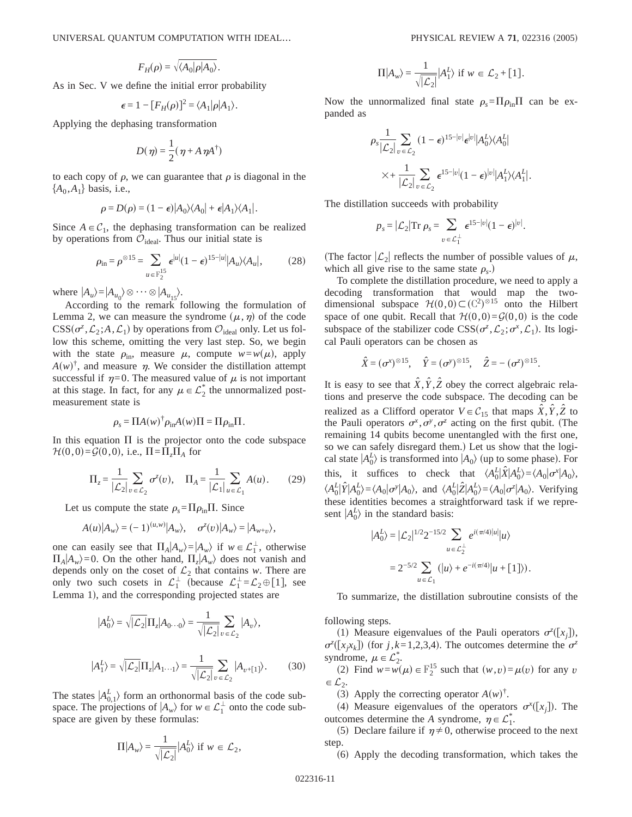$$
F_H(\rho) = \sqrt{\langle A_0 | \rho | A_0 \rangle}.
$$

As in Sec. V we define the initial error probability

$$
\epsilon = 1 - [F_H(\rho)]^2 = \langle A_1 | \rho | A_1 \rangle.
$$

Applying the dephasing transformation

$$
D(\eta) = \frac{1}{2}(\eta + A \eta A^{\dagger})
$$

to each copy of  $\rho$ , we can guarantee that  $\rho$  is diagonal in the  ${A_0, A_1}$  basis, i.e.,

$$
\rho = D(\rho) = (1 - \epsilon)|A_0\rangle\langle A_0| + \epsilon|A_1\rangle\langle A_1|.
$$

Since  $A \in C_1$ , the dephasing transformation can be realized by operations from  $\mathcal{O}_{\text{ideal}}$ . Thus our initial state is

$$
\rho_{\rm in} = \rho^{\otimes 15} = \sum_{u \in \mathbb{F}_2^{15}} \epsilon^{|u|} (1 - \epsilon)^{15 - |u|} |A_u\rangle\langle A_u|, \tag{28}
$$

where  $|A_u\rangle = |A_{u_0}\rangle \otimes \cdots \otimes |A_{u_{15}}\rangle.$ 

According to the remark following the formulation of Lemma 2, we can measure the syndrome  $(\mu, \eta)$  of the code  $CSS(\sigma^z, \mathcal{L}_2; A, \mathcal{L}_1)$  by operations from  $\mathcal{O}_{\text{ideal}}$  only. Let us follow this scheme, omitting the very last step. So, we begin with the state  $\rho_{\text{in}}$ , measure  $\mu$ , compute  $w=w(\mu)$ , apply  $A(w)^{\dagger}$ , and measure  $\eta$ . We consider the distillation attempt successful if  $\eta=0$ . The measured value of  $\mu$  is not important at this stage. In fact, for any  $\mu \in \mathcal{L}_2^*$  the unnormalized postmeasurement state is

$$
\rho_s = \Pi A(w)^{\dagger} \rho_{\text{in}} A(w) \Pi = \Pi \rho_{\text{in}} \Pi.
$$

In this equation  $\Pi$  is the projector onto the code subspace  $\mathcal{H}(0,0) = \mathcal{G}(0,0)$ , i.e.,  $\Pi = \Pi_z \Pi_A$  for

$$
\Pi_z = \frac{1}{|\mathcal{L}_2|} \sum_{v \in \mathcal{L}_2} \sigma^z(v), \quad \Pi_A = \frac{1}{|\mathcal{L}_1|} \sum_{u \in \mathcal{L}_1} A(u). \tag{29}
$$

Let us compute the state  $\rho_s = \Pi \rho_{in} \Pi$ . Since

$$
A(u)|A_w\rangle = (-1)^{(u,w)}|A_w\rangle, \quad \sigma^z(v)|A_w\rangle = |A_{w+v}\rangle,
$$

one can easily see that  $\Pi_A | A_w \rangle = |A_w \rangle$  if  $w \in \mathcal{L}_1^{\perp}$ , otherwise  $\Pi_A | A_w \rangle = 0$ . On the other hand,  $\Pi_z | A_w \rangle$  does not vanish and depends only on the coset of  $\mathcal{L}_2$  that contains *w*. There are only two such cosets in  $\mathcal{L}_1^{\perp}$  (because  $\mathcal{L}_1^{\perp} = \mathcal{L}_2 \oplus [1]$ , see Lemma 1), and the corresponding projected states are

$$
|A_0^L\rangle = \sqrt{|\mathcal{L}_2|} \Pi_z |A_0..._0\rangle = \frac{1}{\sqrt{|\mathcal{L}_2|}} \sum_{v \in \mathcal{L}_2} |A_v\rangle,
$$
  

$$
|A_1^L\rangle = \sqrt{|\mathcal{L}_2|} \Pi_z |A_1..._1\rangle = \frac{1}{\sqrt{|\mathcal{L}_2|}} \sum_{v \in \mathcal{L}_2} |A_{v+1}|.
$$
 (30)

The states  $|A_{0,1}^L\rangle$  form an orthonormal basis of the code subspace. The projections of  $|A_w\rangle$  for  $w \in \mathcal{L}_1^{\perp}$  onto the code subspace are given by these formulas:

$$
\Pi | A_w \rangle = \frac{1}{\sqrt{|\mathcal{L}_2|}} | A_0^L \rangle \text{ if } w \in \mathcal{L}_2,
$$

$$
\Pi | A_w \rangle = \frac{1}{\sqrt{|\mathcal{L}_2|}} |A_1^L \rangle \text{ if } w \in \mathcal{L}_2 + [1].
$$

Now the unnormalized final state  $\rho_s = \Pi \rho_{in} \Pi$  can be expanded as

$$
\rho_s \frac{1}{|\mathcal{L}_2|} \sum_{v \in \mathcal{L}_2} (1 - \epsilon)^{15 - |v|} \epsilon^{|v|} |A_0^L \rangle \langle A_0^L|
$$
  
 
$$
\times + \frac{1}{|\mathcal{L}_2|} \sum_{v \in \mathcal{L}_2} \epsilon^{15 - |v|} (1 - \epsilon)^{|v|} |A_1^L \rangle \langle A_1^L|.
$$

The distillation succeeds with probability

$$
p_s = |\mathcal{L}_2| \text{Tr } \rho_s = \sum_{v \in \mathcal{L}_1^{\perp}} \epsilon^{15-|v|} (1-\epsilon)^{|v|}.
$$

(The factor  $|\mathcal{L}_2|$  reflects the number of possible values of  $\mu$ , which all give rise to the same state  $\rho_s$ .)

To complete the distillation procedure, we need to apply a decoding transformation that would map the twodimensional subspace  $\mathcal{H}(0,0) \subset (\mathbb{C}^2)^{\otimes 15}$  onto the Hilbert space of one qubit. Recall that  $\mathcal{H}(0,0) = \mathcal{G}(0,0)$  is the code subspace of the stabilizer code  $CSS(\sigma^z, \mathcal{L}_2; \sigma^x, \mathcal{L}_1)$ . Its logical Pauli operators can be chosen as

$$
\hat{X} = (\sigma^x)^{\otimes 15}, \quad \hat{Y} = (\sigma^y)^{\otimes 15}, \quad \hat{Z} = -(\sigma^z)^{\otimes 15}.
$$

It is easy to see that  $\hat{X}, \hat{Y}, \hat{Z}$  obey the correct algebraic relations and preserve the code subspace. The decoding can be realized as a Clifford operator  $V \in C_{15}$  that maps  $\hat{X}, \hat{Y}, \hat{Z}$  to the Pauli operators  $\sigma^x, \sigma^y, \sigma^z$  acting on the first qubit. (The remaining 14 qubits become unentangled with the first one, so we can safely disregard them.) Let us show that the logical state  $|A_0^L\rangle$  is transformed into  $|A_0\rangle$  (up to some phase). For this, it suffices to check that  $\langle A_0^L | \hat{X} | A_0^L \rangle = \langle A_0 | \sigma^x | A_0 \rangle$ ,  $\langle A_0^L | \hat{Y} | A_0^L \rangle = \langle A_0 | \sigma^y | A_0 \rangle$ , and  $\langle A_0^L | \hat{Z} | A_0^L \rangle = \langle A_0 | \sigma^z | A_0 \rangle$ . Verifying these identities becomes a straightforward task if we represent  $|A_0^L\rangle$  in the standard basis:

$$
|A_0^L\rangle = |\mathcal{L}_2|^{1/2} 2^{-15/2} \sum_{u \in \mathcal{L}_2^{\perp}} e^{i(\pi/4)|u|} |u\rangle
$$
  
=  $2^{-5/2} \sum_{u \in \mathcal{L}_1} (|u\rangle + e^{-i(\pi/4)} |u + [1])\rangle$ .

To summarize, the distillation subroutine consists of the

following steps.

(1) Measure eigenvalues of the Pauli operators  $\sigma^z([x_j])$ ,  $\sigma^z([x_j x_k])$  (for *j*,*k*=1,2,3,4). The outcomes determine the  $\sigma^z$ syndrome,  $\mu \in \mathcal{L}_2^*$ .

(2) Find  $w = w(\mu) \in \mathbb{F}_2^{15}$  such that  $(w, v) = \mu(v)$  for any *v*  $\in \mathcal{L}_2$ .

(3) Apply the correcting operator  $A(w)^{\dagger}$ .

(4) Measure eigenvalues of the operators  $\sigma^{x}([x_j])$ . The outcomes determine the *A* syndrome,  $\eta \in \mathcal{L}_1^*$ .

(5) Declare failure if  $\eta \neq 0$ , otherwise proceed to the next step.

(6) Apply the decoding transformation, which takes the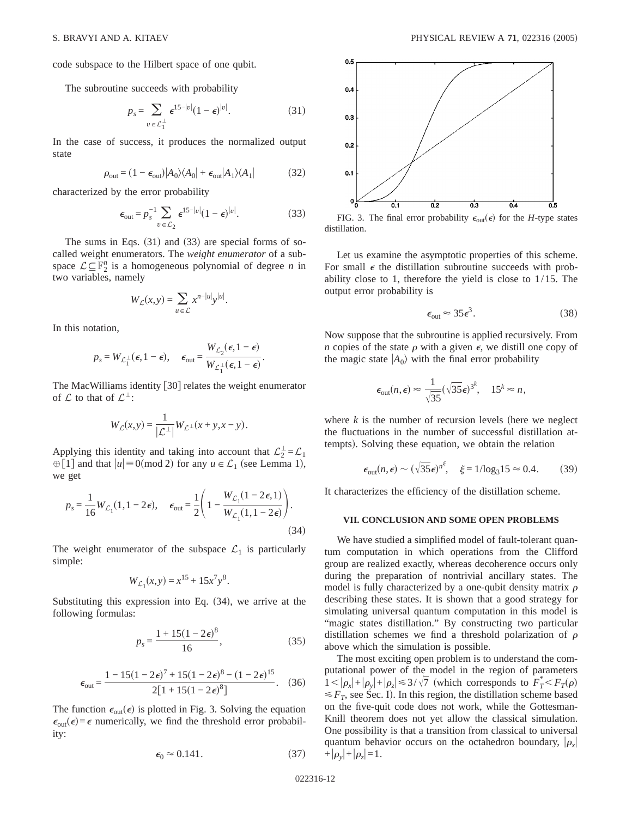code subspace to the Hilbert space of one qubit.

The subroutine succeeds with probability

$$
p_s = \sum_{v \in \mathcal{L}_1^{\perp}} \epsilon^{15-|v|} (1-\epsilon)^{|v|}.
$$
 (31)

In the case of success, it produces the normalized output state

$$
\rho_{\text{out}} = (1 - \epsilon_{\text{out}})|A_0\rangle\langle A_0| + \epsilon_{\text{out}}|A_1\rangle\langle A_1| \tag{32}
$$

characterized by the error probability

$$
\epsilon_{\text{out}} = p_s^{-1} \sum_{v \in \mathcal{L}_2} \epsilon^{15-|v|} (1-\epsilon)^{|v|}.
$$
 (33)

The sums in Eqs.  $(31)$  and  $(33)$  are special forms of socalled weight enumerators. The *weight enumerator* of a subspace  $\mathcal{L} \subseteq \mathbb{F}_2^n$  is a homogeneous polynomial of degree *n* in two variables, namely

$$
W_{\mathcal{L}}(x,y) = \sum_{u \in \mathcal{L}} x^{n-|u|} y^{|u|}.
$$

In this notation,

$$
p_s = W_{\mathcal{L}_1^{\perp}}(\epsilon, 1 - \epsilon), \quad \epsilon_{\text{out}} = \frac{W_{\mathcal{L}_2}(\epsilon, 1 - \epsilon)}{W_{\mathcal{L}_1^{\perp}}(\epsilon, 1 - \epsilon)}.
$$

The MacWilliams identity  $[30]$  relates the weight enumerator of  $\mathcal L$  to that of  $\mathcal L^{\perp}$ :

$$
W_{\mathcal{L}}(x,y) = \frac{1}{|\mathcal{L}^{\perp}|} W_{\mathcal{L}^{\perp}}(x+y,x-y).
$$

Applying this identity and taking into account that  $\mathcal{L}_2^{\perp} = \mathcal{L}_1$  $\bigoplus$ [1] and that  $|u| \equiv 0 \pmod{2}$  for any  $u \in \mathcal{L}_1$  (see Lemma 1), we get

$$
p_s = \frac{1}{16} W_{\mathcal{L}_1}(1, 1 - 2\epsilon), \quad \epsilon_{\text{out}} = \frac{1}{2} \left( 1 - \frac{W_{\mathcal{L}_1}(1 - 2\epsilon, 1)}{W_{\mathcal{L}_1}(1, 1 - 2\epsilon)} \right).
$$
\n(34)

The weight enumerator of the subspace  $\mathcal{L}_1$  is particularly simple:

$$
W_{\mathcal{L}_1}(x, y) = x^{15} + 15x^7y^8.
$$

Substituting this expression into Eq.  $(34)$ , we arrive at the following formulas:

$$
p_s = \frac{1 + 15(1 - 2\epsilon)^8}{16},
$$
\n(35)

$$
\epsilon_{\text{out}} = \frac{1 - 15(1 - 2\epsilon)^7 + 15(1 - 2\epsilon)^8 - (1 - 2\epsilon)^{15}}{2[1 + 15(1 - 2\epsilon)^8]}.
$$
 (36)

The function  $\epsilon_{\text{out}}(\epsilon)$  is plotted in Fig. 3. Solving the equation  $\epsilon_{\text{out}}(\epsilon) = \epsilon$  numerically, we find the threshold error probability:

$$
\epsilon_0 \approx 0.141. \tag{37}
$$



FIG. 3. The final error probability  $\epsilon_{\text{out}}(\epsilon)$  for the *H*-type states distillation.

Let us examine the asymptotic properties of this scheme. For small  $\epsilon$  the distillation subroutine succeeds with probability close to 1, therefore the yield is close to 1/15. The output error probability is

$$
\epsilon_{\text{out}} \approx 35 \epsilon^3. \tag{38}
$$

Now suppose that the subroutine is applied recursively. From *n* copies of the state  $\rho$  with a given  $\epsilon$ , we distill one copy of the magic state  $|A_0\rangle$  with the final error probability

$$
\epsilon_{\text{out}}(n,\epsilon) \approx \frac{1}{\sqrt{35}} (\sqrt{35}\epsilon)^{3^k}, \quad 15^k \approx n,
$$

where  $k$  is the number of recursion levels (here we neglect the fluctuations in the number of successful distillation attempts). Solving these equation, we obtain the relation

$$
\epsilon_{\text{out}}(n,\epsilon) \sim (\sqrt{35}\epsilon)^{n^{\xi}}, \quad \xi = 1/\log_3 15 \approx 0.4. \quad (39)
$$

It characterizes the efficiency of the distillation scheme.

#### **VII. CONCLUSION AND SOME OPEN PROBLEMS**

We have studied a simplified model of fault-tolerant quantum computation in which operations from the Clifford group are realized exactly, whereas decoherence occurs only during the preparation of nontrivial ancillary states. The model is fully characterized by a one-qubit density matrix  $\rho$ describing these states. It is shown that a good strategy for simulating universal quantum computation in this model is "magic states distillation." By constructing two particular distillation schemes we find a threshold polarization of  $\rho$ above which the simulation is possible.

The most exciting open problem is to understand the computational power of the model in the region of parameters  $1 < |\rho_x| + |\rho_y| + |\rho_z| \leq 3/\sqrt{7}$  (which corresponds to  $F_T^* < F_T(\rho)$ )  $\leq F_T$ , see Sec. I). In this region, the distillation scheme based on the five-quit code does not work, while the Gottesman-Knill theorem does not yet allow the classical simulation. One possibility is that a transition from classical to universal quantum behavior occurs on the octahedron boundary,  $|\rho_x|$  $+|\rho_{y}|+|\rho_{z}|=1.$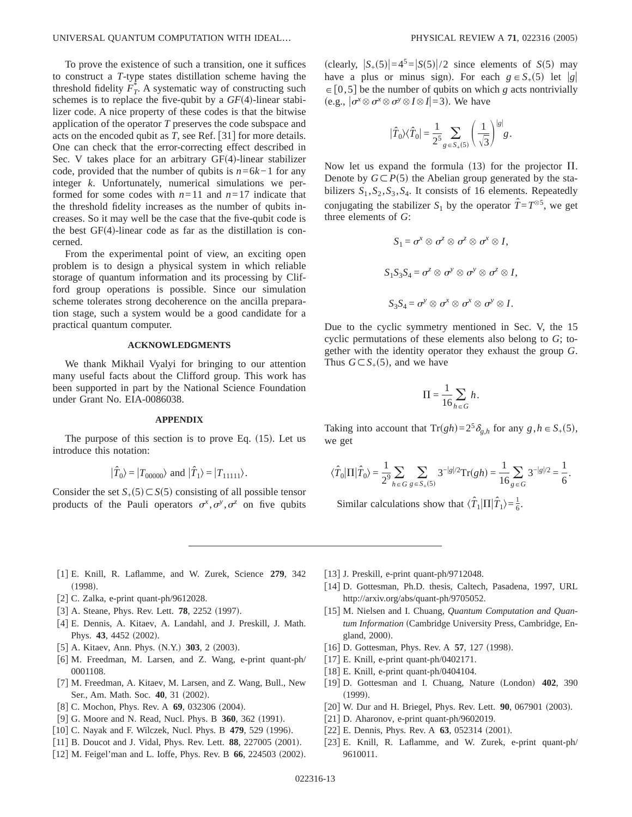To prove the existence of such a transition, one it suffices to construct a *T*-type states distillation scheme having the threshold fidelity  $\overline{F}_T^*$ . A systematic way of constructing such schemes is to replace the five-qubit by a  $GF(4)$ -linear stabilizer code. A nice property of these codes is that the bitwise application of the operator *T* preserves the code subspace and acts on the encoded qubit as  $T$ , see Ref. [31] for more details. One can check that the error-correcting effect described in Sec. V takes place for an arbitrary  $GF(4)$ -linear stabilizer code, provided that the number of qubits is *n*=6*k*−1 for any integer *k*. Unfortunately, numerical simulations we performed for some codes with  $n=11$  and  $n=17$  indicate that the threshold fidelity increases as the number of qubits increases. So it may well be the case that the five-qubit code is the best  $GF(4)$ -linear code as far as the distillation is concerned.

From the experimental point of view, an exciting open problem is to design a physical system in which reliable storage of quantum information and its processing by Clifford group operations is possible. Since our simulation scheme tolerates strong decoherence on the ancilla preparation stage, such a system would be a good candidate for a practical quantum computer.

## **ACKNOWLEDGMENTS**

We thank Mikhail Vyalyi for bringing to our attention many useful facts about the Clifford group. This work has been supported in part by the National Science Foundation under Grant No. EIA-0086038.

### **APPENDIX**

The purpose of this section is to prove Eq.  $(15)$ . Let us introduce this notation:

$$
|\hat{T}_0\rangle = |T_{00000}\rangle \text{ and } |\hat{T}_1\rangle = |T_{11111}\rangle.
$$

Consider the set  $S_{+}(5) \subset S(5)$  consisting of all possible tensor products of the Pauli operators  $\sigma^x$ ,  $\sigma^y$ ,  $\sigma^z$  on five qubits (clearly,  $|S_+(5)| = 4^5 = |S(5)|/2$  since elements of *S*(5) may have a plus or minus sign). For each  $g \in S<sub>+</sub>(5)$  let |g|  $\in [0,5]$  be the number of qubits on which *g* acts nontrivially (e.g.,  $|\sigma^x \otimes \sigma^x \otimes \sigma^y \otimes I \otimes I| = 3$ ). We have

$$
|\hat{T}_0\rangle\langle\hat{T}_0| = \frac{1}{2^5} \sum_{g \in S_+(5)} \left(\frac{1}{\sqrt{3}}\right)^{|g|} g.
$$

Now let us expand the formula  $(13)$  for the projector  $\Pi$ . Denote by  $G \subset P(5)$  the Abelian group generated by the stabilizers  $S_1$ ,  $S_2$ ,  $S_3$ ,  $S_4$ . It consists of 16 elements. Repeatedly conjugating the stabilizer  $S_1$  by the operator  $\hat{T} = T^{\otimes 5}$ , we get three elements of *G*:

$$
S_1 = \sigma^x \otimes \sigma^z \otimes \sigma^z \otimes \sigma^x \otimes I,
$$
  

$$
S_1 S_3 S_4 = \sigma^z \otimes \sigma^y \otimes \sigma^y \otimes \sigma^z \otimes I,
$$
  

$$
S_3 S_4 = \sigma^y \otimes \sigma^x \otimes \sigma^x \otimes \sigma^y \otimes I.
$$

Due to the cyclic symmetry mentioned in Sec. V, the 15 cyclic permutations of these elements also belong to *G*; together with the identity operator they exhaust the group *G*. Thus  $G \subset S_{+}(5)$ , and we have

$$
\Pi = \frac{1}{16} \sum_{h \in G} h.
$$

Taking into account that  $Tr(gh) = 2^5 \delta_{g,h}$  for any  $g, h \in S_+(5)$ , we get

$$
\langle \hat{T}_0 | \Pi | \hat{T}_0 \rangle = \frac{1}{2^9} \sum_{h \in G} \sum_{g \in S_+(5)} 3^{-|g|/2} \text{Tr}(gh) = \frac{1}{16} \sum_{g \in G} 3^{-|g|/2} = \frac{1}{6}.
$$

Similar calculations show that  $\langle \hat{T}_1 | \Pi | \hat{T}_1 \rangle = \frac{1}{6}$ .

- f1g E. Knill, R. Laflamme, and W. Zurek, Science **279**, 342  $(1998).$
- [2] C. Zalka, e-print quant-ph/9612028.
- [3] A. Steane, Phys. Rev. Lett. **78**, 2252 (1997).
- f4g E. Dennis, A. Kitaev, A. Landahl, and J. Preskill, J. Math. Phys. 43, 4452 (2002).
- [5] A. Kitaev, Ann. Phys. (N.Y.) **303**, 2 (2003).
- [6] M. Freedman, M. Larsen, and Z. Wang, e-print quant-ph/ 0001108.
- [7] M. Freedman, A. Kitaev, M. Larsen, and Z. Wang, Bull., New Ser., Am. Math. Soc. 40, 31 (2002).
- [8] C. Mochon, Phys. Rev. A **69**, 032306 (2004).
- [9] G. Moore and N. Read, Nucl. Phys. B **360**, 362 (1991).
- [10] C. Nayak and F. Wilczek, Nucl. Phys. B 479, 529 (1996).
- [11] B. Doucot and J. Vidal, Phys. Rev. Lett. **88**, 227005 (2001).
- [12] M. Feigel'man and L. Ioffe, Phys. Rev. B 66, 224503 (2002).
- [13] J. Preskill, e-print quant-ph/9712048.
- [14] D. Gottesman, Ph.D. thesis, Caltech, Pasadena, 1997, URL http://arxiv.org/abs/quant-ph/9705052.
- [15] M. Nielsen and I. Chuang, *Quantum Computation and Quan*tum Information (Cambridge University Press, Cambridge, England, 2000).
- [16] D. Gottesman, Phys. Rev. A **57**, 127 (1998).
- $[17]$  E. Knill, e-print quant-ph/0402171.
- [18] E. Knill, e-print quant-ph/0404104.
- [19] D. Gottesman and I. Chuang, Nature (London) 402, 390  $(1999).$
- [20] W. Dur and H. Briegel, Phys. Rev. Lett. **90**, 067901 (2003).
- [21] D. Aharonov, e-print quant-ph/9602019.
- $[22]$  E. Dennis, Phys. Rev. A  $63$ , 052314  $(2001)$ .
- [23] E. Knill, R. Laflamme, and W. Zurek, e-print quant-ph/ 9610011.